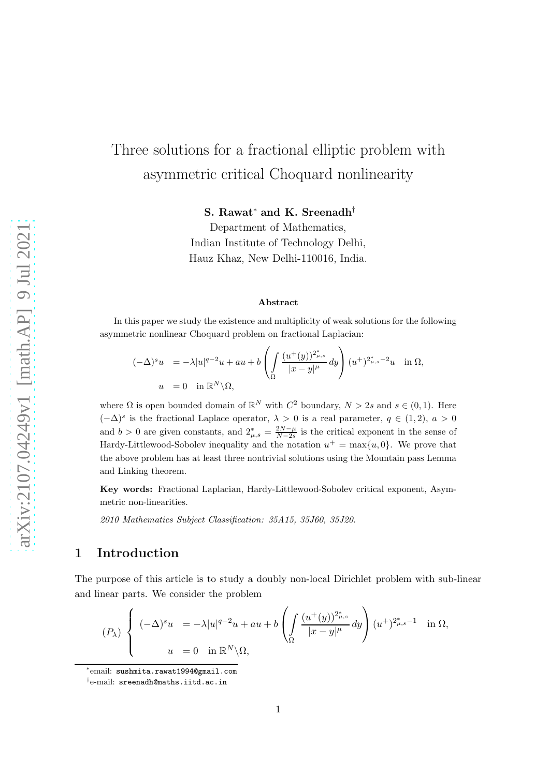# Three solutions for a fractional elliptic problem with asymmetric critical Choquard nonlinearity

S. Rawat<sup>\*</sup> and K. Sreenadh<sup>†</sup>

Department of Mathematics, Indian Institute of Technology Delhi, Hauz Khaz, New Delhi-110016, India.

#### Abstract

In this paper we study the existence and multiplicity of weak solutions for the following asymmetric nonlinear Choquard problem on fractional Laplacian:

$$
(-\Delta)^s u = -\lambda |u|^{q-2}u + au + b \left( \int_{\Omega} \frac{(u^+(y))^{2^*_{\mu,s}}}{|x-y|^{\mu}} dy \right) (u^+)^{2^*_{\mu,s}-2} u \quad \text{in } \Omega,
$$
  

$$
u = 0 \quad \text{in } \mathbb{R}^N \setminus \Omega,
$$

where  $\Omega$  is open bounded domain of  $\mathbb{R}^N$  with  $C^2$  boundary,  $N > 2s$  and  $s \in (0,1)$ . Here  $(-\Delta)^s$  is the fractional Laplace operator,  $\lambda > 0$  is a real parameter,  $q \in (1,2)$ ,  $a > 0$ and  $b > 0$  are given constants, and  $2^*_{\mu,s} = \frac{2N-\mu}{N-2s}$  is the critical exponent in the sense of Hardy-Littlewood-Sobolev inequality and the notation  $u^+ = \max\{u, 0\}$ . We prove that the above problem has at least three nontrivial solutions using the Mountain pass Lemma and Linking theorem.

Key words: Fractional Laplacian, Hardy-Littlewood-Sobolev critical exponent, Asymmetric non-linearities.

2010 Mathematics Subject Classification: 35A15, 35J60, 35J20.

#### 1 Introduction

The purpose of this article is to study a doubly non-local Dirichlet problem with sub-linear and linear parts. We consider the problem

$$
(P_\lambda) \begin{cases} (-\Delta)^s u = -\lambda |u|^{q-2} u + au + b \left( \int_{\Omega} \frac{(u^+(y))^{2^*_{\mu,s}}}{|x-y|^\mu} dy \right) (u^+)^{2^*_{\mu,s}-1} & \text{in } \Omega, \\ u = 0 & \text{in } \mathbb{R}^N \backslash \Omega, \end{cases}
$$

<sup>∗</sup> email: sushmita.rawat1994@gmail.com

 $^\dagger$ e-mail: sreenadh@maths.iitd.ac.in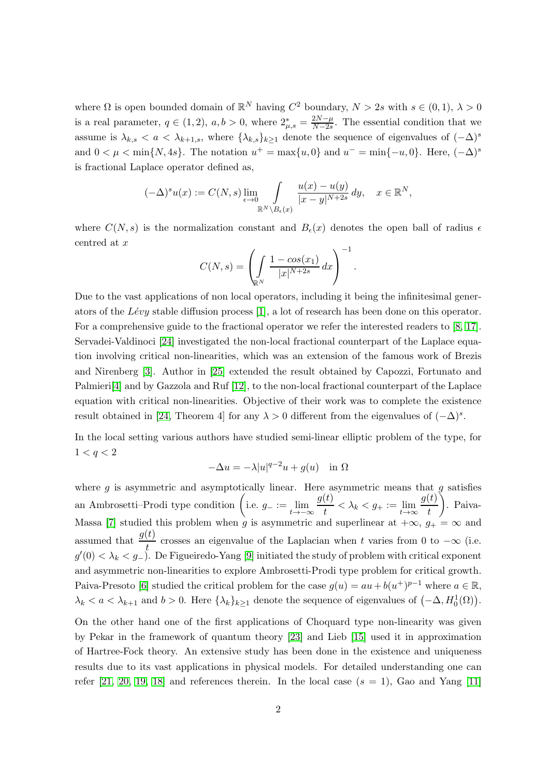where  $\Omega$  is open bounded domain of  $\mathbb{R}^N$  having  $C^2$  boundary,  $N > 2s$  with  $s \in (0,1)$ ,  $\lambda > 0$ is a real parameter,  $q \in (1, 2)$ ,  $a, b > 0$ , where  $2^*_{\mu, s} = \frac{2N - \mu}{N - 2s}$  $\frac{2N-\mu}{N-2s}$ . The essential condition that we assume is  $\lambda_{k,s} < a < \lambda_{k+1,s}$ , where  $\{\lambda_{k,s}\}_{k\geq 1}$  denote the sequence of eigenvalues of  $(-\Delta)^s$ and  $0 < \mu < \min\{N, 4s\}$ . The notation  $u^+ = \max\{u, 0\}$  and  $u^- = \min\{-u, 0\}$ . Here,  $(-\Delta)^s$ is fractional Laplace operator defined as,

$$
(-\Delta)^s u(x) := C(N, s) \lim_{\epsilon \to 0} \int_{\mathbb{R}^N \setminus B_{\epsilon}(x)} \frac{u(x) - u(y)}{|x - y|^{N+2s}} dy, \quad x \in \mathbb{R}^N,
$$

where  $C(N, s)$  is the normalization constant and  $B_{\epsilon}(x)$  denotes the open ball of radius  $\epsilon$ centred at x

$$
C(N,s) = \left(\int_{\mathbb{R}^N} \frac{1 - \cos(x_1)}{|x|^{N+2s}} dx\right)^{-1}.
$$

Due to the vast applications of non local operators, including it being the infinitesimal generators of the  $Lévy$  stable diffusion process [\[1\]](#page-23-0), a lot of research has been done on this operator. For a comprehensive guide to the fractional operator we refer the interested readers to [\[8,](#page-24-0) [17\]](#page-24-1). Servadei-Valdinoci [\[24\]](#page-25-0) investigated the non-local fractional counterpart of the Laplace equation involving critical non-linearities, which was an extension of the famous work of Brezis and Nirenberg [\[3\]](#page-23-1). Author in [\[25\]](#page-25-1) extended the result obtained by Capozzi, Fortunato and Palmieri<sup>[\[4\]](#page-23-2)</sup> and by Gazzola and Ruf <sup>[12]</sup>, to the non-local fractional counterpart of the Laplace equation with critical non-linearities. Objective of their work was to complete the existence result obtained in [\[24,](#page-25-0) Theorem 4] for any  $\lambda > 0$  different from the eigenvalues of  $(-\Delta)^s$ .

In the local setting various authors have studied semi-linear elliptic problem of the type, for  $1 < q < 2$ 

$$
-\Delta u = -\lambda |u|^{q-2}u + g(u) \quad \text{in } \Omega
$$

where  $g$  is asymmetric and asymptotically linear. Here asymmetric means that  $g$  satisfies an Ambrosetti–Prodi type condition  $\left(i.e. g\_ := \lim_{t \to -\infty} \right)$  $g(t)$  $\frac{\partial}{\partial t} < \lambda_k < g_+ := \lim_{t \to \infty}$  $g(t)$ t . Paiva-Massa [\[7\]](#page-24-3) studied this problem when g is asymmetric and superlinear at  $+\infty$ ,  $g_+ = \infty$  and assumed that  $\frac{g(t)}{t}$  crosses an eigenvalue of the Laplacian when t varies from 0 to  $-\infty$  (i.e.  $g'(0) < \lambda_k < g_$ . De Figueiredo-Yang [\[9\]](#page-24-4) initiated the study of problem with critical exponent and asymmetric non-linearities to explore Ambrosetti-Prodi type problem for critical growth. Paiva-Presoto [\[6\]](#page-24-5) studied the critical problem for the case  $g(u) = au + b(u^+)^{p-1}$  where  $a \in \mathbb{R}$ ,  $\lambda_k < a < \lambda_{k+1}$  and  $b > 0$ . Here  $\{\lambda_k\}_{k \geq 1}$  denote the sequence of eigenvalues of  $(-\Delta, H_0^1(\Omega))$ . On the other hand one of the first applications of Choquard type non-linearity was given by Pekar in the framework of quantum theory [\[23\]](#page-25-2) and Lieb [\[15\]](#page-24-6) used it in approximation of Hartree-Fock theory. An extensive study has been done in the existence and uniqueness results due to its vast applications in physical models. For detailed understanding one can

refer [\[21,](#page-25-3) [20,](#page-25-4) [19,](#page-24-7) [18\]](#page-24-8) and references therein. In the local case  $(s = 1)$ , Gao and Yang [\[11\]](#page-24-9)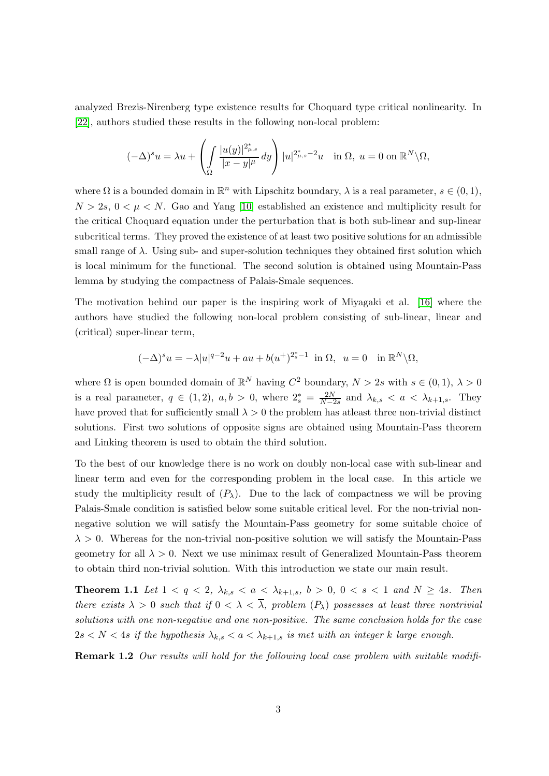analyzed Brezis-Nirenberg type existence results for Choquard type critical nonlinearity. In [\[22\]](#page-25-5), authors studied these results in the following non-local problem:

$$
(-\Delta)^s u = \lambda u + \left(\int_{\Omega} \frac{|u(y)|^{2^*_{\mu,s}}}{|x-y|^{\mu}} dy\right) |u|^{2^*_{\mu,s}-2} u \quad \text{in } \Omega, \ u = 0 \text{ on } \mathbb{R}^N \setminus \Omega,
$$

where  $\Omega$  is a bounded domain in  $\mathbb{R}^n$  with Lipschitz boundary,  $\lambda$  is a real parameter,  $s \in (0,1)$ ,  $N > 2s$ ,  $0 < \mu < N$ . Gao and Yang [\[10\]](#page-24-10) established an existence and multiplicity result for the critical Choquard equation under the perturbation that is both sub-linear and sup-linear subcritical terms. They proved the existence of at least two positive solutions for an admissible small range of  $\lambda$ . Using sub- and super-solution techniques they obtained first solution which is local minimum for the functional. The second solution is obtained using Mountain-Pass lemma by studying the compactness of Palais-Smale sequences.

The motivation behind our paper is the inspiring work of Miyagaki et al. [\[16\]](#page-24-11) where the authors have studied the following non-local problem consisting of sub-linear, linear and (critical) super-linear term,

<span id="page-2-0"></span>
$$
(-\Delta)^s u = -\lambda |u|^{q-2}u + au + b(u^+)^{2_s^*-1} \text{ in } \Omega, \ u = 0 \quad \text{in } \mathbb{R}^N \setminus \Omega,
$$

where  $\Omega$  is open bounded domain of  $\mathbb{R}^N$  having  $C^2$  boundary,  $N > 2s$  with  $s \in (0,1)$ ,  $\lambda > 0$ is a real parameter,  $q \in (1,2)$ ,  $a,b > 0$ , where  $2_s^* = \frac{2N}{N-2s}$  and  $\lambda_{k,s} < a < \lambda_{k+1,s}$ . They have proved that for sufficiently small  $\lambda > 0$  the problem has atleast three non-trivial distinct solutions. First two solutions of opposite signs are obtained using Mountain-Pass theorem and Linking theorem is used to obtain the third solution.

To the best of our knowledge there is no work on doubly non-local case with sub-linear and linear term and even for the corresponding problem in the local case. In this article we study the multiplicity result of  $(P_\lambda)$ . Due to the lack of compactness we will be proving Palais-Smale condition is satisfied below some suitable critical level. For the non-trivial nonnegative solution we will satisfy the Mountain-Pass geometry for some suitable choice of  $\lambda > 0$ . Whereas for the non-trivial non-positive solution we will satisfy the Mountain-Pass geometry for all  $\lambda > 0$ . Next we use minimax result of Generalized Mountain-Pass theorem to obtain third non-trivial solution. With this introduction we state our main result.

**Theorem 1.1** Let  $1 < q < 2$ ,  $\lambda_{k,s} < a < \lambda_{k+1,s}$ ,  $b > 0$ ,  $0 < s < 1$  and  $N \ge 4s$ . Then there exists  $\lambda > 0$  such that if  $0 < \lambda < \overline{\lambda}$ , problem  $(P_{\lambda})$  possesses at least three nontrivial solutions with one non-negative and one non-positive. The same conclusion holds for the case  $2s < N < 4s$  if the hypothesis  $\lambda_{k,s} < a < \lambda_{k+1,s}$  is met with an integer k large enough.

Remark 1.2 Our results will hold for the following local case problem with suitable modifi-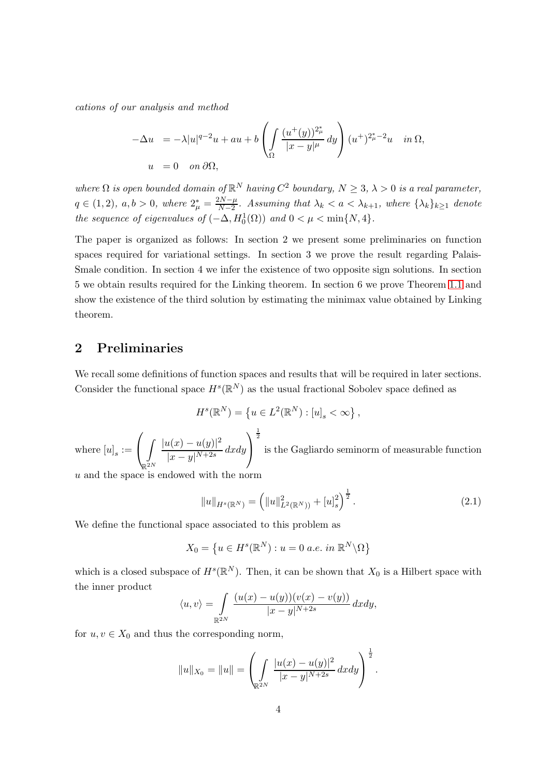cations of our analysis and method

$$
-\Delta u = -\lambda |u|^{q-2}u + au + b \left( \int_{\Omega} \frac{(u^+(y))^{2\mu} u}{|x-y|^{\mu}} dy \right) (u^+)^{2\mu} u \quad in \Omega,
$$
  
 
$$
u = 0 \quad on \ \partial\Omega,
$$

where  $\Omega$  is open bounded domain of  $\mathbb{R}^N$  having  $C^2$  boundary,  $N \geq 3$ ,  $\lambda > 0$  is a real parameter,  $q \in (1,2), a, b > 0, where 2^*_{\mu} = \frac{2N-\mu}{N-2}$  $\frac{N-N-\mu}{N-2}$ . Assuming that  $\lambda_k < a < \lambda_{k+1}$ , where  $\{\lambda_k\}_{k\geq 1}$  denote the sequence of eigenvalues of  $(-\Delta, H_0^1(\Omega))$  and  $0 < \mu < \min\{N, 4\}.$ 

The paper is organized as follows: In section 2 we present some preliminaries on function spaces required for variational settings. In section 3 we prove the result regarding Palais-Smale condition. In section 4 we infer the existence of two opposite sign solutions. In section 5 we obtain results required for the Linking theorem. In section 6 we prove Theorem [1.1](#page-2-0) and show the existence of the third solution by estimating the minimax value obtained by Linking theorem.

# 2 Preliminaries

We recall some definitions of function spaces and results that will be required in later sections. Consider the functional space  $H^s(\mathbb{R}^N)$  as the usual fractional Sobolev space defined as

$$
Hs(\mathbb{R}^N) = \left\{ u \in L^2(\mathbb{R}^N) : [u]_s < \infty \right\},\
$$

where  $[u]_s :=$  $\sqrt{ }$  $\mathcal{L}$ Z  $\mathbb{R}^{2N}$  $|u(x) - u(y)|^2$  $\frac{x(x)-x(y)}{|x-y|^{N+2s}} dx dy$  $\setminus$  $\overline{1}$  $\frac{1}{2}$ is the Gagliardo seminorm of measurable function

u and the space is endowed with the norm

<span id="page-3-0"></span>
$$
||u||_{H^{s}(\mathbb{R}^{N})} = \left(||u||_{L^{2}(\mathbb{R}^{N})}^{2} + [u]_{s}^{2}\right)^{\frac{1}{2}}.
$$
\n(2.1)

We define the functional space associated to this problem as

$$
X_0 = \left\{ u \in H^s(\mathbb{R}^N) : u = 0 \text{ a.e. in } \mathbb{R}^N \backslash \Omega \right\}
$$

which is a closed subspace of  $H^s(\mathbb{R}^N)$ . Then, it can be shown that  $X_0$  is a Hilbert space with the inner product

$$
\langle u, v \rangle = \int_{\mathbb{R}^{2N}} \frac{(u(x) - u(y))(v(x) - v(y))}{|x - y|^{N+2s}} dx dy,
$$

for  $u, v \in X_0$  and thus the corresponding norm,

$$
||u||_{X_0} = ||u|| = \left(\int_{\mathbb{R}^{2N}} \frac{|u(x) - u(y)|^2}{|x - y|^{N+2s}} dx dy\right)^{\frac{1}{2}}.
$$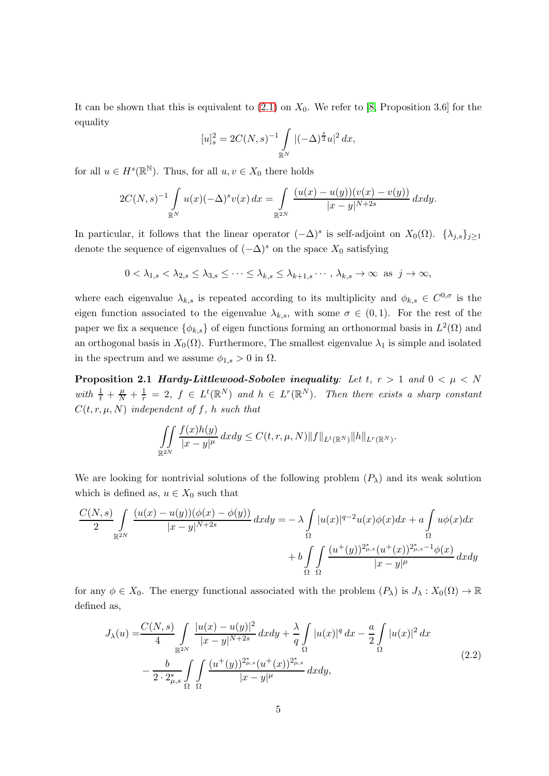It can be shown that this is equivalent to  $(2.1)$  on  $X_0$ . We refer to [\[8,](#page-24-0) Proposition 3.6] for the equality

$$
[u]_s^2 = 2C(N,s)^{-1} \int_{\mathbb{R}^N} |(-\Delta)^{\frac{s}{2}} u|^2 dx,
$$

for all  $u \in H^s(\mathbb{R}^N)$ . Thus, for all  $u, v \in X_0$  there holds

$$
2C(N,s)^{-1} \int_{\mathbb{R}^N} u(x)(-\Delta)^s v(x) dx = \int_{\mathbb{R}^{2N}} \frac{(u(x) - u(y))(v(x) - v(y))}{|x - y|^{N+2s}} dx dy.
$$

In particular, it follows that the linear operator  $(-\Delta)^s$  is self-adjoint on  $X_0(\Omega)$ .  $\{\lambda_{j,s}\}_{j\geq 1}$ denote the sequence of eigenvalues of  $(-\Delta)^s$  on the space  $X_0$  satisfying

$$
0<\lambda_{1,s}<\lambda_{2,s}\leq\lambda_{3,s}\leq\cdots\leq\lambda_{k,s}\leq\lambda_{k+1,s}\cdots,\,\lambda_{k,s}\to\infty\;\;\mathrm{as}\;\;j\to\infty,
$$

where each eigenvalue  $\lambda_{k,s}$  is repeated according to its multiplicity and  $\phi_{k,s} \in C^{0,\sigma}$  is the eigen function associated to the eigenvalue  $\lambda_{k,s}$ , with some  $\sigma \in (0,1)$ . For the rest of the paper we fix a sequence  $\{\phi_{k,s}\}\$  of eigen functions forming an orthonormal basis in  $L^2(\Omega)$  and an orthogonal basis in  $X_0(\Omega)$ . Furthermore, The smallest eigenvalue  $\lambda_1$  is simple and isolated in the spectrum and we assume  $\phi_{1,s} > 0$  in  $\Omega$ .

**Proposition 2.1 Hardy-Littlewood-Sobolev inequality:** Let t,  $r > 1$  and  $0 < \mu < N$ with  $\frac{1}{t} + \frac{\mu}{N} + \frac{1}{r} = 2$ ,  $f \in L^t(\mathbb{R}^N)$  and  $h \in L^r(\mathbb{R}^N)$ . Then there exists a sharp constant  $C(t, r, \mu, N)$  independent of f, h such that

$$
\iint\limits_{\mathbb{R}^{2N}}\frac{f(x)h(y)}{|x-y|^\mu}\,dxdy\leq C(t,r,\mu,N)\|f\|_{L^t(\mathbb{R}^N)}\|h\|_{L^r(\mathbb{R}^N)}
$$

.

We are looking for nontrivial solutions of the following problem  $(P_\lambda)$  and its weak solution which is defined as,  $u \in X_0$  such that

$$
\frac{C(N,s)}{2} \int_{\mathbb{R}^{2N}} \frac{(u(x) - u(y))(\phi(x) - \phi(y))}{|x - y|^{N+2s}} dx dy = -\lambda \int_{\Omega} |u(x)|^{q-2} u(x) \phi(x) dx + a \int_{\Omega} u \phi(x) dx
$$

$$
+ b \int_{\Omega} \int_{\Omega} \frac{(u^+(y))^{2\mu} s(u^+(x))^{2\mu} s^{-1} \phi(x)}{|x - y|^{\mu}} dx dy
$$

for any  $\phi \in X_0$ . The energy functional associated with the problem  $(P_\lambda)$  is  $J_\lambda : X_0(\Omega) \to \mathbb{R}$ defined as,

<span id="page-4-0"></span>
$$
J_{\lambda}(u) = \frac{C(N,s)}{4} \int_{\mathbb{R}^{2N}} \frac{|u(x) - u(y)|^2}{|x - y|^{N+2s}} dx dy + \frac{\lambda}{q} \int_{\Omega} |u(x)|^q dx - \frac{a}{2} \int_{\Omega} |u(x)|^2 dx
$$
  

$$
- \frac{b}{2 \cdot 2_{\mu,s}^*} \int_{\Omega} \int_{\Omega} \frac{(u^+(y))^{2_{\mu,s}^*} (u^+(x))^{2_{\mu,s}^*}}{|x - y|^{\mu}} dx dy,
$$
\n(2.2)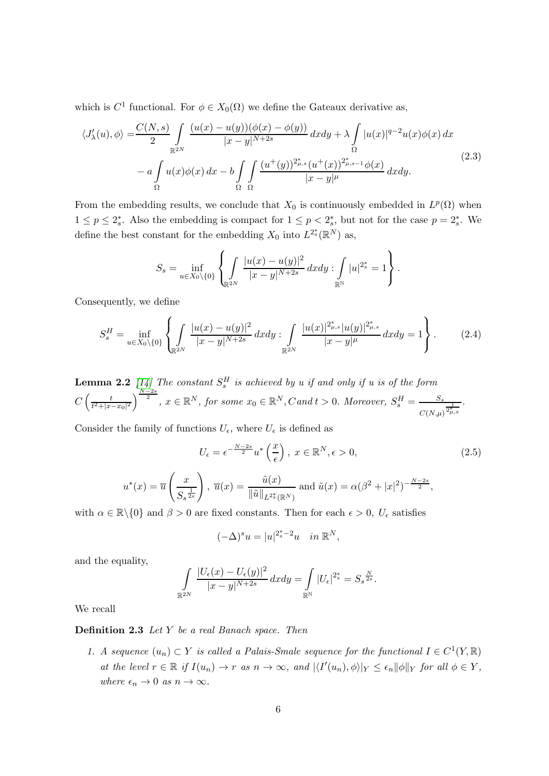which is  $C^1$  functional. For  $\phi \in X_0(\Omega)$  we define the Gateaux derivative as,

<span id="page-5-0"></span>
$$
\langle J'_{\lambda}(u), \phi \rangle = \frac{C(N, s)}{2} \int_{\mathbb{R}^{2N}} \frac{(u(x) - u(y))(\phi(x) - \phi(y))}{|x - y|^{N + 2s}} dx dy + \lambda \int_{\Omega} |u(x)|^{q - 2} u(x) \phi(x) dx - a \int_{\Omega} u(x) \phi(x) dx - b \int_{\Omega} \int_{\Omega} \frac{(u^{+}(y))^{2_{\mu,s}^{*}} (u^{+}(x))^{2_{\mu,s-1}^{*}} \phi(x)}{|x - y|^{\mu}} dx dy.
$$
\n(2.3)

From the embedding results, we conclude that  $X_0$  is continuously embedded in  $L^p(\Omega)$  when  $1 \leq p \leq 2_s^*$ . Also the embedding is compact for  $1 \leq p < 2_s^*$ , but not for the case  $p = 2_s^*$ . We define the best constant for the embedding  $X_0$  into  $L^{2_s^*}(\mathbb{R}^N)$  as,

$$
S_s = \inf_{u \in X_0 \setminus \{0\}} \left\{ \int_{\mathbb{R}^{2N}} \frac{|u(x) - u(y)|^2}{|x - y|^{N+2s}} dx dy : \int_{\mathbb{R}^N} |u|^{2^*_s} = 1 \right\}.
$$

Consequently, we define

<span id="page-5-1"></span>
$$
S_s^H = \inf_{u \in X_0 \setminus \{0\}} \left\{ \int_{\mathbb{R}^{2N}} \frac{|u(x) - u(y)|^2}{|x - y|^{N+2s}} dx dy : \int_{\mathbb{R}^{2N}} \frac{|u(x)|^{2^*_{\mu,s}} |u(y)|^{2^*_{\mu,s}}}{|x - y|^{\mu}} dx dy = 1 \right\}.
$$
 (2.4)

**Lemma 2.2** [\[14\]](#page-24-12) The constant  $S_s^H$  is achieved by u if and only if u is of the form  $C\left(\frac{t}{t^2+|x|}\right)$  $\frac{t}{t^2+|x-x_0|^2}$   $\sum_{j=2s}^{N-2s}$ ,  $x \in \mathbb{R}^N$ , for some  $x_0 \in \mathbb{R}^N$ , Cand  $t > 0$ . Moreover,  $S_s^H = \frac{S_s}{\sum_{j=2s}^{N-2s} S_s^2}$  $C(N,\mu)$  $\frac{1}{2^*_{\mu,s}}$ .

Consider the family of functions  $U_{\epsilon}$ , where  $U_{\epsilon}$  is defined as

<span id="page-5-2"></span>
$$
U_{\epsilon} = \epsilon^{-\frac{N-2s}{2}} u^* \left(\frac{x}{\epsilon}\right), \ x \in \mathbb{R}^N, \epsilon > 0,
$$
\n
$$
u^*(x) = \overline{u} \left(\frac{x}{S_s^{\frac{1}{2s}}}\right), \ \overline{u}(x) = \frac{\tilde{u}(x)}{\|\tilde{u}\|_{L^{2^*_s}(\mathbb{R}^N)}} \text{ and } \tilde{u}(x) = \alpha(\beta^2 + |x|^2)^{-\frac{N-2s}{2}},
$$
\n
$$
(2.5)
$$

with  $\alpha \in \mathbb{R} \setminus \{0\}$  and  $\beta > 0$  are fixed constants. Then for each  $\epsilon > 0$ ,  $U_{\epsilon}$  satisfies

$$
(-\Delta)^s u = |u|^{2_s^*-2} u \quad in \ \mathbb{R}^N,
$$

and the equality,

$$
\int\limits_{\mathbb{R}^{2N}}\frac{|U_{\epsilon}(x)-U_{\epsilon}(y)|^2}{|x-y|^{N+2s}}\,dxdy=\int\limits_{\mathbb{R}^{N}}|U_{\epsilon}|^{2_{s}^{*}}=S_{s}^{\frac{N}{2s}}.
$$

We recall

Definition 2.3 Let Y be a real Banach space. Then

1. A sequence  $(u_n) \subset Y$  is called a Palais-Smale sequence for the functional  $I \in C^1(Y,\mathbb{R})$ at the level  $r \in \mathbb{R}$  if  $I(u_n) \to r$  as  $n \to \infty$ , and  $|\langle I'(u_n), \phi \rangle|_Y \leq \epsilon_n ||\phi||_Y$  for all  $\phi \in Y$ , where  $\epsilon_n \to 0$  as  $n \to \infty$ .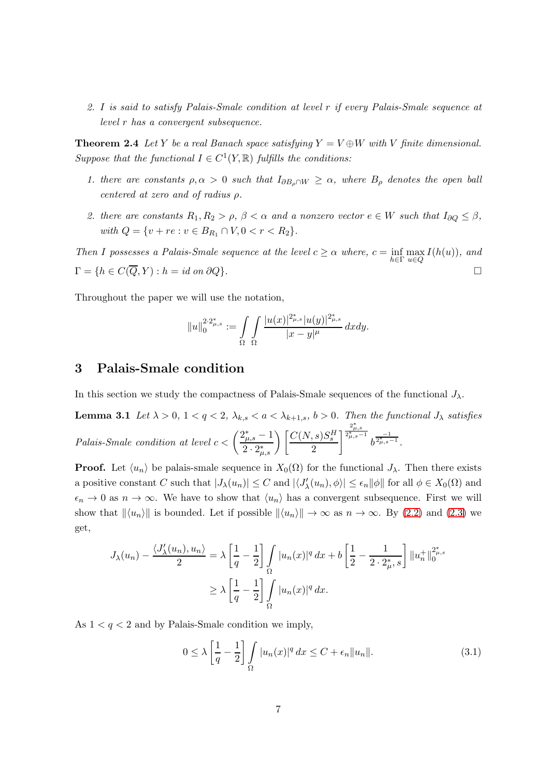<span id="page-6-2"></span>2. I is said to satisfy Palais-Smale condition at level r if every Palais-Smale sequence at level r has a convergent subsequence.

**Theorem 2.4** Let Y be a real Banach space satisfying  $Y = V \oplus W$  with V finite dimensional. Suppose that the functional  $I \in C^1(Y, \mathbb{R})$  fulfills the conditions:

- 1. there are constants  $\rho, \alpha > 0$  such that  $I_{\partial B_{\alpha} \cap W} \geq \alpha$ , where  $B_{\rho}$  denotes the open ball centered at zero and of radius ρ.
- 2. there are constants  $R_1, R_2 > \rho, \beta < \alpha$  and a nonzero vector  $e \in W$  such that  $I_{\partial Q} \leq \beta$ , with  $Q = \{v + re : v \in B_{R_1} \cap V, 0 < r < R_2\}.$

Then I possesses a Palais-Smale sequence at the level  $c \geq \alpha$  where,  $c = \inf_{h \in \Gamma} \max_{u \in Q} I(h(u))$ , and  $\Gamma = \{h \in C(\overline{Q}, Y) : h = id \text{ on } \partial Q\}.$ 

Throughout the paper we will use the notation,

<span id="page-6-1"></span>
$$
||u||_0^{2\cdot2_{\mu,s}^*}:=\int\limits_{\Omega}\int\limits_{\Omega}\frac{|u(x)|^{2_{\mu,s}^*}|u(y)|^{2_{\mu,s}^*}}{|x-y|^{\mu}}\,dxdy.
$$

### 3 Palais-Smale condition

In this section we study the compactness of Palais-Smale sequences of the functional  $J_{\lambda}$ .

**Lemma 3.1** Let  $\lambda > 0$ ,  $1 < q < 2$ ,  $\lambda_{k,s} < a < \lambda_{k+1,s}$ ,  $b > 0$ . Then the functional  $J_{\lambda}$  satisfies Palais-Smale condition at level  $c < \left(\frac{2^*_{\mu,s} - 1}{2^n}\right)$  $\left(\frac{2^*_{\mu,s}-1}{2\cdot2^*_{\mu,s}}\right)\left[\frac{C(N,s)S^H_s}{2}\right]$ 2 1  $\frac{2^*_{\mu,s}}{2^*_{\mu,s}-1}$  $\frac{-1}{2^*_{\mu,s}-1}$ .

**Proof.** Let  $\langle u_n \rangle$  be palais-smale sequence in  $X_0(\Omega)$  for the functional  $J_\lambda$ . Then there exists a positive constant C such that  $|J_\lambda(u_n)| \leq C$  and  $|\langle J'_\lambda(u_n), \phi \rangle| \leq \epsilon_n ||\phi||$  for all  $\phi \in X_0(\Omega)$  and  $\epsilon_n \to 0$  as  $n \to \infty$ . We have to show that  $\langle u_n \rangle$  has a convergent subsequence. First we will show that  $\| \langle u_n \rangle \|$  is bounded. Let if possible  $\| \langle u_n \rangle \| \to \infty$  as  $n \to \infty$ . By [\(2.2\)](#page-4-0) and [\(2.3\)](#page-5-0) we get,

$$
J_{\lambda}(u_n) - \frac{\langle J'_{\lambda}(u_n), u_n \rangle}{2} = \lambda \left[ \frac{1}{q} - \frac{1}{2} \right] \int_{\Omega} |u_n(x)|^q dx + b \left[ \frac{1}{2} - \frac{1}{2 \cdot 2_{\mu}^*, s} \right] \|u_n^+\|_0^{2_{\mu}^*,s}
$$

$$
\geq \lambda \left[ \frac{1}{q} - \frac{1}{2} \right] \int_{\Omega} |u_n(x)|^q dx.
$$

As  $1 < q < 2$  and by Palais-Smale condition we imply,

<span id="page-6-0"></span>
$$
0 \le \lambda \left[\frac{1}{q} - \frac{1}{2}\right] \int_{\Omega} |u_n(x)|^q dx \le C + \epsilon_n \|u_n\|.
$$
 (3.1)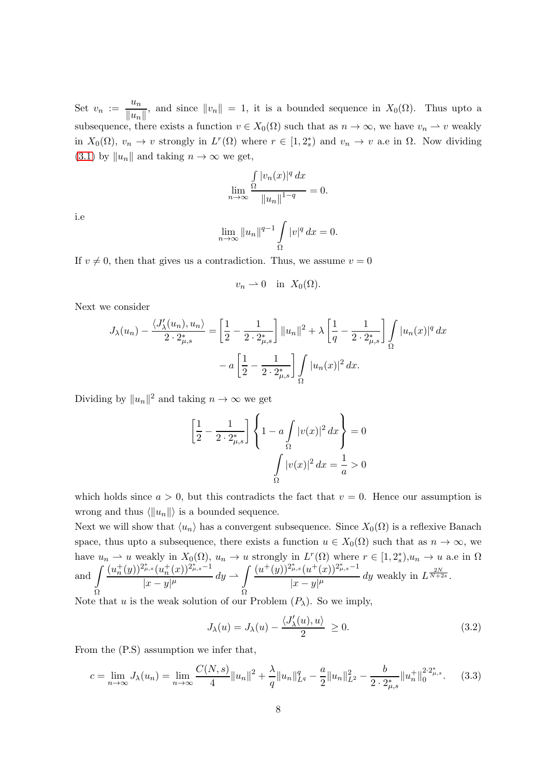Set  $v_n := \frac{u_n}{\|u_n\|}$  $\frac{u_n}{\|u_n\|}$ , and since  $\|v_n\| = 1$ , it is a bounded sequence in  $X_0(\Omega)$ . Thus upto a subsequence, there exists a function  $v \in X_0(\Omega)$  such that as  $n \to \infty$ , we have  $v_n \to v$  weakly in  $X_0(\Omega)$ ,  $v_n \to v$  strongly in  $L^r(\Omega)$  where  $r \in [1, 2_s^*)$  and  $v_n \to v$  a.e in  $\Omega$ . Now dividing [\(3.1\)](#page-6-0) by  $||u_n||$  and taking  $n \to \infty$  we get,

$$
\lim_{n \to \infty} \frac{\int_{\Omega} |v_n(x)|^q dx}{\|u_n\|^{1-q}} = 0.
$$

i.e

$$
\lim_{n \to \infty} \|u_n\|^{q-1} \int_{\Omega} |v|^q dx = 0.
$$

If  $v \neq 0$ , then that gives us a contradiction. Thus, we assume  $v = 0$ 

$$
v_n \rightharpoonup 0 \quad \text{in} \ \ X_0(\Omega).
$$

Next we consider

$$
J_{\lambda}(u_{n}) - \frac{\langle J'_{\lambda}(u_{n}), u_{n} \rangle}{2 \cdot 2_{\mu,s}^{*}} = \left[\frac{1}{2} - \frac{1}{2 \cdot 2_{\mu,s}^{*}}\right] ||u_{n}||^{2} + \lambda \left[\frac{1}{q} - \frac{1}{2 \cdot 2_{\mu,s}^{*}}\right] \int_{\Omega} |u_{n}(x)|^{q} dx
$$

$$
- a \left[\frac{1}{2} - \frac{1}{2 \cdot 2_{\mu,s}^{*}}\right] \int_{\Omega} |u_{n}(x)|^{2} dx.
$$

Dividing by  $||u_n||^2$  and taking  $n \to \infty$  we get

$$
\left[\frac{1}{2} - \frac{1}{2 \cdot 2_{\mu,s}^*}\right] \left\{1 - a \int_{\Omega} |v(x)|^2 dx\right\} = 0
$$

$$
\int_{\Omega} |v(x)|^2 dx = \frac{1}{a} > 0
$$

which holds since  $a > 0$ , but this contradicts the fact that  $v = 0$ . Hence our assumption is wrong and thus  $\langle ||u_n|| \rangle$  is a bounded sequence.

Next we will show that  $\langle u_n \rangle$  has a convergent subsequence. Since  $X_0(\Omega)$  is a reflexive Banach space, thus upto a subsequence, there exists a function  $u \in X_0(\Omega)$  such that as  $n \to \infty$ , we have  $u_n \rightharpoonup u$  weakly in  $X_0(\Omega)$ ,  $u_n \to u$  strongly in  $L^r(\Omega)$  where  $r \in [1, 2_s^*)$ ,  $u_n \to u$  a.e in  $\Omega$  $\begin{bmatrix} \text{and} \end{bmatrix}$ Ω  $\bigl( u_n^+(y) \bigr)^{2^*_\mu,s} (u_n^+(x))^{2^*_\mu,s-1}$  $\frac{\partial \mu_{\mu,s} (u_n^+(x))^2 \mu_{,\kappa}-1}{|x-y|^{\mu}} dy \rightharpoonup \int$ Ω  $(u^+(y))^{2^*_{\mu,s}}(u^+(x))^{2^*_{\mu,s}-1}$  $\frac{d^2\mu,s}{|x-y|^{\mu}}(u^+(x))^{\mu}$  are weakly in  $L^{\frac{2N}{N+2s}}$ .

Note that u is the weak solution of our Problem  $(P_\lambda)$ . So we imply,

<span id="page-7-1"></span>
$$
J_{\lambda}(u) = J_{\lambda}(u) - \frac{\langle J'_{\lambda}(u), u \rangle}{2} \ge 0.
$$
 (3.2)

From the (P.S) assumption we infer that,

<span id="page-7-0"></span>
$$
c = \lim_{n \to \infty} J_{\lambda}(u_n) = \lim_{n \to \infty} \frac{C(N, s)}{4} ||u_n||^2 + \frac{\lambda}{q} ||u_n||_{L^q}^q - \frac{a}{2} ||u_n||_{L^2}^2 - \frac{b}{2 \cdot 2^*_{\mu, s}} ||u_n^+||_0^{2 \cdot 2^*_{\mu, s}}.
$$
 (3.3)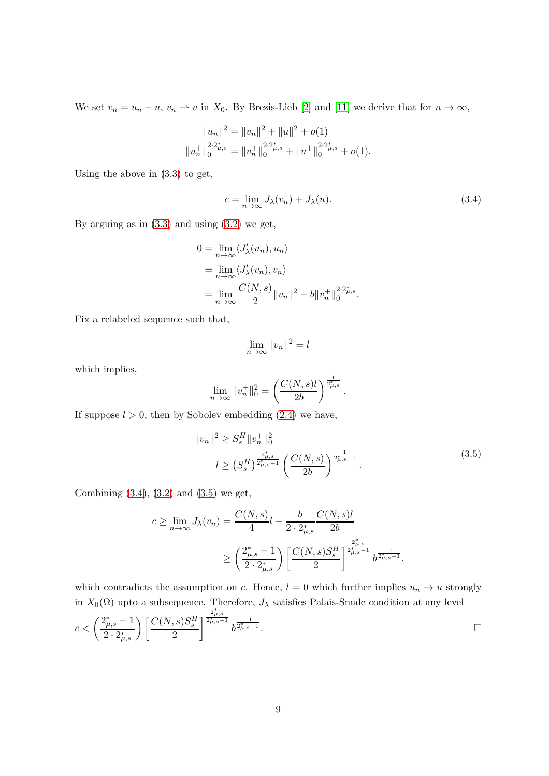We set  $v_n = u_n - u$ ,  $v_n \rightharpoonup v$  in  $X_0$ . By Brezis-Lieb [\[2\]](#page-23-3) and [\[11\]](#page-24-9) we derive that for  $n \to \infty$ ,

$$
||u_n||^2 = ||v_n||^2 + ||u||^2 + o(1)
$$
  

$$
||u_n^+||_0^{2 \cdot 2_{\mu,s}^*} = ||v_n^+||_0^{2 \cdot 2_{\mu,s}^*} + ||u^+||_0^{2 \cdot 2_{\mu,s}^*} + o(1).
$$

Using the above in [\(3.3\)](#page-7-0) to get,

<span id="page-8-0"></span>
$$
c = \lim_{n \to \infty} J_{\lambda}(v_n) + J_{\lambda}(u). \tag{3.4}
$$

By arguing as in  $(3.3)$  and using  $(3.2)$  we get,

$$
0 = \lim_{n \to \infty} \langle J'_{\lambda}(u_n), u_n \rangle
$$
  
= 
$$
\lim_{n \to \infty} \langle J'_{\lambda}(v_n), v_n \rangle
$$
  
= 
$$
\lim_{n \to \infty} \frac{C(N, s)}{2} ||v_n||^2 - b ||v_n^+||_0^{2 \cdot 2_{\mu, s}^*}.
$$

Fix a relabeled sequence such that,

$$
\lim_{n \to \infty} ||v_n||^2 = l
$$

which implies,

$$
\lim_{n \to \infty} ||v_n^+||_0^2 = \left(\frac{C(N,s)l}{2b}\right)^{\frac{1}{2_{\mu,s}^*}}.
$$

<span id="page-8-1"></span>If suppose  $l > 0$ , then by Sobolev embedding  $(2.4)$  we have,

$$
||v_n||^2 \ge S_s^H ||v_n^+||_0^2
$$
  

$$
l \ge (S_s^H)^{\frac{2_{\mu,s}^*}{2_{\mu,s}^* - 1}} \left(\frac{C(N,s)}{2b}\right)^{\frac{1}{2_{\mu,s}^* - 1}}.
$$
 (3.5)

Combining  $(3.4)$ ,  $(3.2)$  and  $(3.5)$  we get,

$$
c \ge \lim_{n \to \infty} J_{\lambda}(v_n) = \frac{C(N, s)}{4}l - \frac{b}{2 \cdot 2_{\mu, s}^*} \frac{C(N, s)l}{2b}
$$
  
 
$$
\ge \left(\frac{2_{\mu, s}^* - 1}{2 \cdot 2_{\mu, s}^*}\right) \left[\frac{C(N, s)S_s^H}{2}\right]^{\frac{2_{\mu, s}^*}{2_{\mu, s}^* - 1}} b^{\frac{-1}{2_{\mu, s}^* - 1}},
$$

which contradicts the assumption on c. Hence,  $l = 0$  which further implies  $u_n \to u$  strongly in  $X_0(\Omega)$  upto a subsequence. Therefore,  $J_\lambda$  satisfies Palais-Smale condition at any level

$$
c < \left(\frac{2_{\mu,s}^* - 1}{2 \cdot 2_{\mu,s}^*}\right) \left[\frac{C(N,s)S_s^H}{2}\right]^{\frac{2_{\mu,s}^*}{2_{\mu,s}^* - 1}} b^{\frac{-1}{2_{\mu,s}^* - 1}}.
$$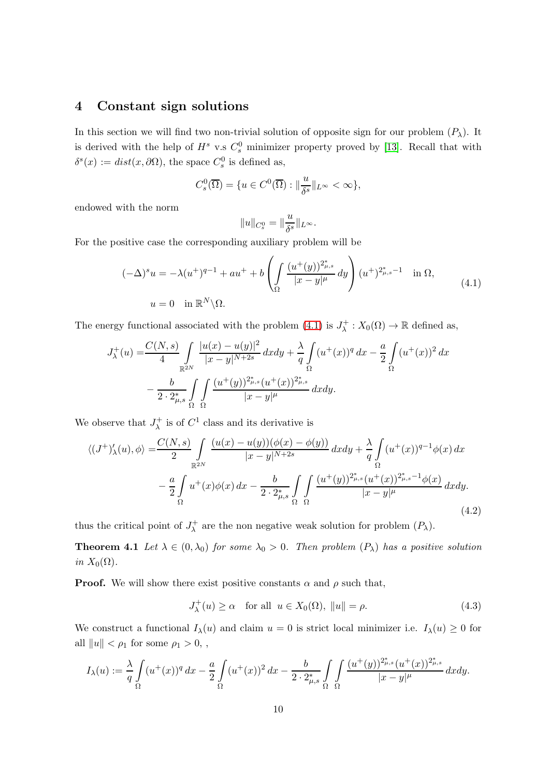# 4 Constant sign solutions

In this section we will find two non-trivial solution of opposite sign for our problem  $(P_\lambda)$ . It is derived with the help of  $H^s$  v.s  $C_s^0$  minimizer property proved by [13]. Recall that with  $\delta^s(x) := dist(x, \partial \Omega)$ , the space  $C_s^0$  is defined as,

$$
C_s^0(\overline{\Omega}) = \{ u \in C^0(\overline{\Omega}) : ||\frac{u}{\delta^s}||_{L^{\infty}} < \infty \},\
$$

endowed with the norm

$$
\|u\|_{C_s^0}=\|\frac{u}{\delta^s}\|_{L^\infty}.
$$

For the positive case the corresponding auxiliary problem will be

<span id="page-9-0"></span>
$$
(-\Delta)^s u = -\lambda (u^+)^{q-1} + au^+ + b \left( \int_{\Omega} \frac{(u^+(y))^{2^*_{\mu,s}}}{|x-y|^{\mu}} dy \right) (u^+)^{2^*_{\mu,s}-1} \quad \text{in } \Omega,
$$
  
\n
$$
u = 0 \quad \text{in } \mathbb{R}^N \setminus \Omega.
$$
\n(4.1)

The energy functional associated with the problem  $(4.1)$  is  $J^+_\lambda : X_0(\Omega) \to \mathbb{R}$  defined as,

$$
J_{\lambda}^{+}(u) = \frac{C(N,s)}{4} \int_{\mathbb{R}^{2N}} \frac{|u(x) - u(y)|^{2}}{|x - y|^{N+2s}} dx dy + \frac{\lambda}{q} \int_{\Omega} (u^{+}(x))^{q} dx - \frac{a}{2} \int_{\Omega} (u^{+}(x))^{2} dx
$$

$$
- \frac{b}{2 \cdot 2_{\mu,s}^{*}} \int_{\Omega} \int_{\Omega} \frac{(u^{+}(y))^{2_{\mu,s}^{*}} (u^{+}(x))^{2_{\mu,s}^{*}}}{|x - y|^{\mu}} dx dy.
$$

We observe that  $J_{\lambda}^{+}$  $\chi^+$  is of  $C^1$  class and its derivative is

<span id="page-9-2"></span>
$$
\langle (J^+)_{\lambda}'(u), \phi \rangle = \frac{C(N, s)}{2} \int_{\mathbb{R}^{2N}} \frac{(u(x) - u(y))(\phi(x) - \phi(y))}{|x - y|^{N+2s}} dx dy + \frac{\lambda}{q} \int_{\Omega} (u^+(x))^{q-1} \phi(x) dx - \frac{a}{2} \int_{\Omega} u^+(x) \phi(x) dx - \frac{b}{2 \cdot 2^*_{\mu, s}} \int_{\Omega} \int_{\Omega} \frac{(u^+(y))^{2^*_{\mu, s}} (u^+(x))^{2^*_{\mu, s} - 1} \phi(x)}{|x - y|^{\mu}} dx dy.
$$
\n(4.2)

thus the critical point of  $J_\lambda^+$  $\lambda^+$  are the non negative weak solution for problem  $(P_{\lambda})$ .

**Theorem 4.1** Let  $\lambda \in (0, \lambda_0)$  for some  $\lambda_0 > 0$ . Then problem  $(P_\lambda)$  has a positive solution in  $X_0(\Omega)$ .

**Proof.** We will show there exist positive constants  $\alpha$  and  $\rho$  such that,

<span id="page-9-3"></span><span id="page-9-1"></span>
$$
J^+_{\lambda}(u) \ge \alpha \quad \text{for all} \ \ u \in X_0(\Omega), \ \|u\| = \rho. \tag{4.3}
$$

We construct a functional  $I_\lambda(u)$  and claim  $u = 0$  is strict local minimizer i.e.  $I_\lambda(u) \geq 0$  for all  $||u|| < \rho_1$  for some  $\rho_1 > 0$ ,

$$
I_{\lambda}(u) := \frac{\lambda}{q} \int_{\Omega} (u^+(x))^q \, dx - \frac{a}{2} \int_{\Omega} (u^+(x))^2 \, dx - \frac{b}{2 \cdot 2^*_{\mu,s}} \int_{\Omega} \int_{\Omega} \frac{(u^+(y))^{2^*_{\mu,s}} (u^+(x))^{2^*_{\mu,s}}}{|x - y|^{\mu}} \, dx \, dy.
$$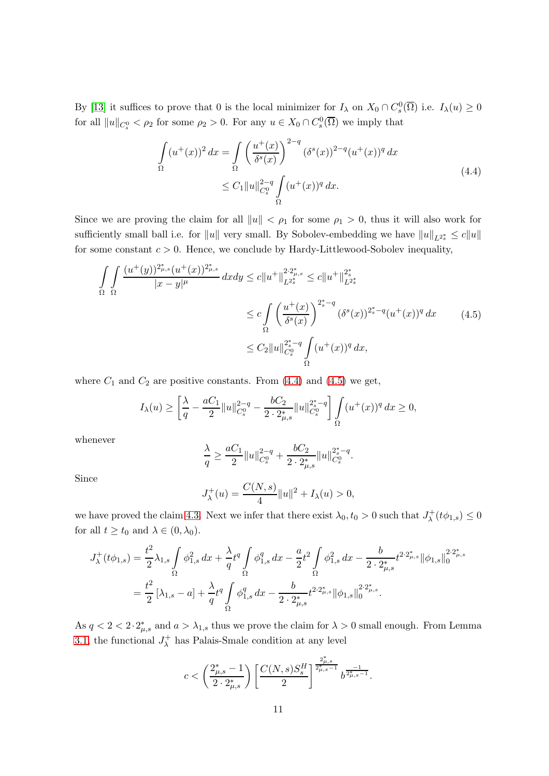By [13] it suffices to prove that 0 is the local minimizer for  $I_\lambda$  on  $X_0 \cap C_s^0(\overline{\Omega})$  i.e.  $I_\lambda(u) \geq 0$ for all  $||u||_{C^0_s} < \rho_2$  for some  $\rho_2 > 0$ . For any  $u \in X_0 \cap C^0_s(\overline{\Omega})$  we imply that

<span id="page-10-0"></span>
$$
\int_{\Omega} (u^+(x))^2 dx = \int_{\Omega} \left(\frac{u^+(x)}{\delta^s(x)}\right)^{2-q} (\delta^s(x))^{2-q} (u^+(x))^q dx
$$
\n
$$
\leq C_1 \|u\|_{C_s^0}^{2-q} \int_{\Omega} (u^+(x))^q dx.
$$
\n(4.4)

Since we are proving the claim for all  $||u|| < \rho_1$  for some  $\rho_1 > 0$ , thus it will also work for sufficiently small ball i.e. for  $||u||$  very small. By Sobolev-embedding we have  $||u||_{L^{2^*_s}} \leq c||u||$ for some constant  $c > 0$ . Hence, we conclude by Hardy-Littlewood-Sobolev inequality,

<span id="page-10-1"></span>
$$
\iint_{\Omega} \frac{(u^+(y))^{2^*_{\mu,s}}(u^+(x))^{2^*_{\mu,s}}}{|x-y|^{\mu}} dxdy \le c \|u^+\|_{L^{2^*_s}}^{2 \cdot 2^*_{\mu,s}} \le c \|u^+\|_{L^{2^*_s}}^{2^*_{\sigma}} \n\le c \int_{\Omega} \left(\frac{u^+(x)}{\delta^s(x)}\right)^{2^*_s - q} (\delta^s(x))^{2^*_s - q} (u^+(x))^q dx \qquad (4.5)\n\le C_2 \|u\|_{C^0_s}^{2^*_s - q} \int_{\Omega} (u^+(x))^q dx,
$$

where  $C_1$  and  $C_2$  are positive constants. From  $(4.4)$  and  $(4.5)$  we get,

$$
I_{\lambda}(u) \ge \left[\frac{\lambda}{q} - \frac{aC_1}{2} ||u||_{C_s^0}^{2-q} - \frac{bC_2}{2 \cdot 2_{\mu,s}^*} ||u||_{C_s^0}^{2_s^*-q} \right] \int_{\Omega} (u^+(x))^q dx \ge 0,
$$

whenever

$$
\frac{\lambda}{q} \geq \frac{aC_1}{2} \|u\|_{C_s^0}^{2-q} + \frac{bC_2}{2 \cdot 2^*_{\mu,s}} \|u\|_{C_s^0}^{2^*_s-q}.
$$

Since

$$
J^+_{\lambda}(u) = \frac{C(N,s)}{4} ||u||^2 + I_{\lambda}(u) > 0,
$$

we have proved the claim [4.3.](#page-9-1) Next we infer that there exist  $\lambda_0, t_0 > 0$  such that  $J^+_\lambda$  $\lambda^+(t\phi_{1,s})\leq 0$ for all  $t \ge t_0$  and  $\lambda \in (0, \lambda_0)$ .

$$
J_{\lambda}^{+}(t\phi_{1,s}) = \frac{t^{2}}{2}\lambda_{1,s} \int_{\Omega} \phi_{1,s}^{2} dx + \frac{\lambda}{q} t^{q} \int_{\Omega} \phi_{1,s}^{q} dx - \frac{a}{2} t^{2} \int_{\Omega} \phi_{1,s}^{2} dx - \frac{b}{2 \cdot 2_{\mu,s}^{*}} t^{2 \cdot 2_{\mu,s}^{*}} ||\phi_{1,s}||_{0}^{2 \cdot 2_{\mu,s}^{*}}
$$
  
= 
$$
\frac{t^{2}}{2} [\lambda_{1,s} - a] + \frac{\lambda}{q} t^{q} \int_{\Omega} \phi_{1,s}^{q} dx - \frac{b}{2 \cdot 2_{\mu,s}^{*}} t^{2 \cdot 2_{\mu,s}^{*}} ||\phi_{1,s}||_{0}^{2 \cdot 2_{\mu,s}^{*}}.
$$

As  $q < 2 < 2 \cdot 2^*_{\mu,s}$  and  $a > \lambda_{1,s}$  thus we prove the claim for  $\lambda > 0$  small enough. From Lemma [3.1,](#page-6-1) the functional  $J_{\lambda}^{+}$  has Palais-Smale condition at any level

$$
c<\left(\frac{2_{\mu,s}^*-1}{2\cdot2_{\mu,s}^*}\right)\left[\frac{C(N,s)S_s^H}{2}\right]^{\frac{2_{\mu,s}^*}{2_{\mu,s}-1}}b^{\frac{-1}{2_{\mu,s}^*-1}}.
$$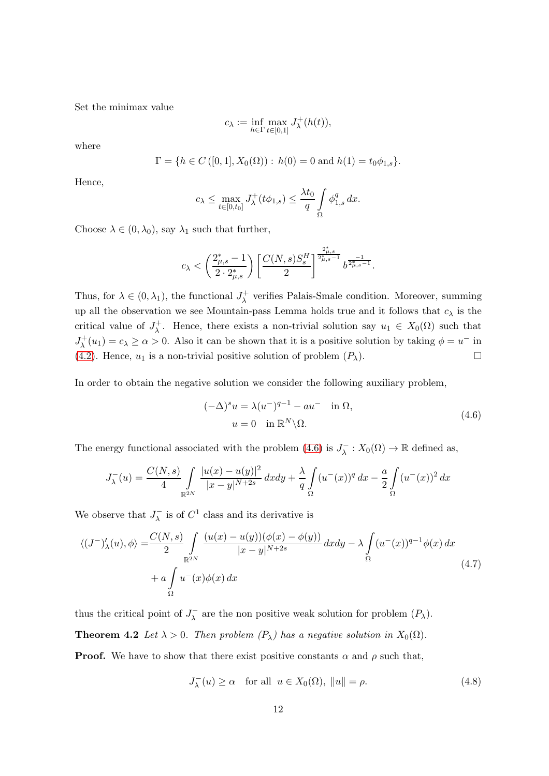Set the minimax value

$$
c_{\lambda} := \inf_{h \in \Gamma} \max_{t \in [0,1]} J_{\lambda}^{+}(h(t)),
$$

where

$$
\Gamma = \{ h \in C([0,1], X_0(\Omega)) : h(0) = 0 \text{ and } h(1) = t_0 \phi_{1,s} \}.
$$

Hence,

$$
c_{\lambda} \leq \max_{t \in [0, t_0]} J_{\lambda}^+(t\phi_{1,s}) \leq \frac{\lambda t_0}{q} \int_{\Omega} \phi_{1,s}^q dx.
$$

Choose  $\lambda \in (0, \lambda_0)$ , say  $\lambda_1$  such that further,

$$
c_\lambda < \left(\frac{2\overset{*}{\mu}_{\mu,s}-1}{2\cdot 2^*_{\mu,s}}\right)\left[\frac{C(N,s)S^{H}_s}{2}\right]^{\frac{2^*_{\mu,s}}{2^*_{\mu,s}-1}} b^{\frac{-1}{2^*_{\mu,s}-1}}.
$$

Thus, for  $\lambda \in (0, \lambda_1)$ , the functional  $J^+_{\lambda}$  verifies Palais-Smale condition. Moreover, summing up all the observation we see Mountain-pass Lemma holds true and it follows that  $c_{\lambda}$  is the critical value of  $J^+_\lambda$ . Hence, there exists a non-trivial solution say  $u_1 \in X_0(\Omega)$  such that  $J_{\lambda}^+$  $\chi^+(u_1) = c_\lambda \geq \alpha > 0$ . Also it can be shown that it is a positive solution by taking  $\phi = u^-$  in [\(4.2\)](#page-9-2). Hence,  $u_1$  is a non-trivial positive solution of problem  $(P_\lambda)$ .

In order to obtain the negative solution we consider the following auxiliary problem,

<span id="page-11-0"></span>
$$
(-\Delta)^{s} u = \lambda (u^{-})^{q-1} - au^{-} \quad \text{in } \Omega,
$$
  
\n
$$
u = 0 \quad \text{in } \mathbb{R}^{N} \backslash \Omega.
$$
\n(4.6)

The energy functional associated with the problem  $(4.6)$  is  $J_{\lambda}^- : X_0(\Omega) \to \mathbb{R}$  defined as,

$$
J_{\lambda}^{-}(u) = \frac{C(N,s)}{4} \int_{\mathbb{R}^{2N}} \frac{|u(x) - u(y)|^2}{|x - y|^{N+2s}} dx dy + \frac{\lambda}{q} \int_{\Omega} (u^{-}(x))^q dx - \frac{a}{2} \int_{\Omega} (u^{-}(x))^2 dx
$$

We observe that  $J_{\lambda}^-$  is of  $C^1$  class and its derivative is

<span id="page-11-2"></span>
$$
\langle (J^-)_{\lambda}'(u), \phi \rangle = \frac{C(N, s)}{2} \int_{\mathbb{R}^{2N}} \frac{(u(x) - u(y))(\phi(x) - \phi(y))}{|x - y|^{N+2s}} dx dy - \lambda \int_{\Omega} (u^-(x))^{q-1} \phi(x) dx
$$
  
+ 
$$
a \int_{\Omega} u^-(x) \phi(x) dx
$$
 (4.7)

thus the critical point of  $J_{\lambda}^ \overline{\lambda}$  are the non positive weak solution for problem  $(P_{\lambda})$ .

**Theorem 4.2** Let  $\lambda > 0$ . Then problem  $(P_{\lambda})$  has a negative solution in  $X_0(\Omega)$ .

**Proof.** We have to show that there exist positive constants  $\alpha$  and  $\rho$  such that,

<span id="page-11-3"></span><span id="page-11-1"></span>
$$
J_{\lambda}^{-}(u) \ge \alpha \quad \text{for all} \ \ u \in X_{0}(\Omega), \ \|u\| = \rho. \tag{4.8}
$$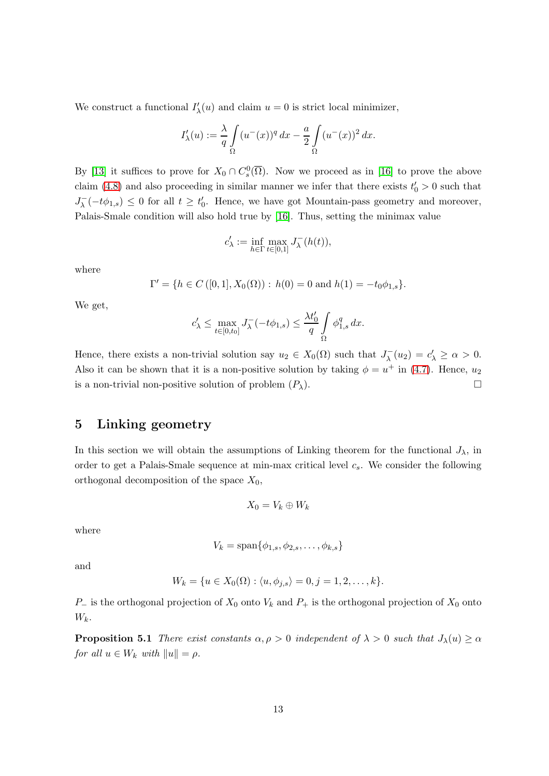We construct a functional  $I'_{\lambda}(u)$  and claim  $u = 0$  is strict local minimizer,

$$
I'_{\lambda}(u) := \frac{\lambda}{q} \int_{\Omega} (u^-(x))^q dx - \frac{a}{2} \int_{\Omega} (u^-(x))^2 dx.
$$

By [13] it suffices to prove for  $X_0 \cap C_s^0(\overline{\Omega})$ . Now we proceed as in [\[16\]](#page-24-11) to prove the above claim [\(4.8\)](#page-11-1) and also proceeding in similar manner we infer that there exists  $t'_0 > 0$  such that  $J_{\lambda}^ \lambda_{\lambda}^{-}(-t\phi_{1,s}) \leq 0$  for all  $t \geq t'_{0}$ . Hence, we have got Mountain-pass geometry and moreover, Palais-Smale condition will also hold true by [\[16\]](#page-24-11). Thus, setting the minimax value

$$
c'_{\lambda} := \inf_{h \in \Gamma} \max_{t \in [0,1]} J_{\lambda}^-(h(t)),
$$

where

$$
\Gamma' = \{ h \in C([0,1], X_0(\Omega)) : h(0) = 0 \text{ and } h(1) = -t_0 \phi_{1,s} \}.
$$

We get,

$$
c'_{\lambda} \le \max_{t \in [0, t_0]} J_{\lambda}^-(-t\phi_{1, s}) \le \frac{\lambda t'_0}{q} \int_{\Omega} \phi_{1, s}^q dx.
$$

Hence, there exists a non-trivial solution say  $u_2 \in X_0(\Omega)$  such that  $J_\lambda^-(u_2) = c_\lambda' \ge \alpha > 0$ . Also it can be shown that it is a non-positive solution by taking  $\phi = u^+$  in [\(4.7\)](#page-11-2). Hence,  $u_2$ is a non-trivial non-positive solution of problem  $(P_{\lambda})$ .

# 5 Linking geometry

In this section we will obtain the assumptions of Linking theorem for the functional  $J_{\lambda}$ , in order to get a Palais-Smale sequence at min-max critical level  $c_s$ . We consider the following orthogonal decomposition of the space  $X_0$ ,

$$
X_0 = V_k \oplus W_k
$$

where

$$
V_k = \text{span}\{\phi_{1,s}, \phi_{2,s}, \dots, \phi_{k,s}\}
$$

and

$$
W_k = \{ u \in X_0(\Omega) : \langle u, \phi_{j,s} \rangle = 0, j = 1, 2, \dots, k \}.
$$

<span id="page-12-0"></span>P<sub>-</sub> is the orthogonal projection of  $X_0$  onto  $V_k$  and  $P_+$  is the orthogonal projection of  $X_0$  onto  $W_k$ .

**Proposition 5.1** There exist constants  $\alpha, \rho > 0$  independent of  $\lambda > 0$  such that  $J_{\lambda}(u) \geq \alpha$ for all  $u \in W_k$  with  $||u|| = \rho$ .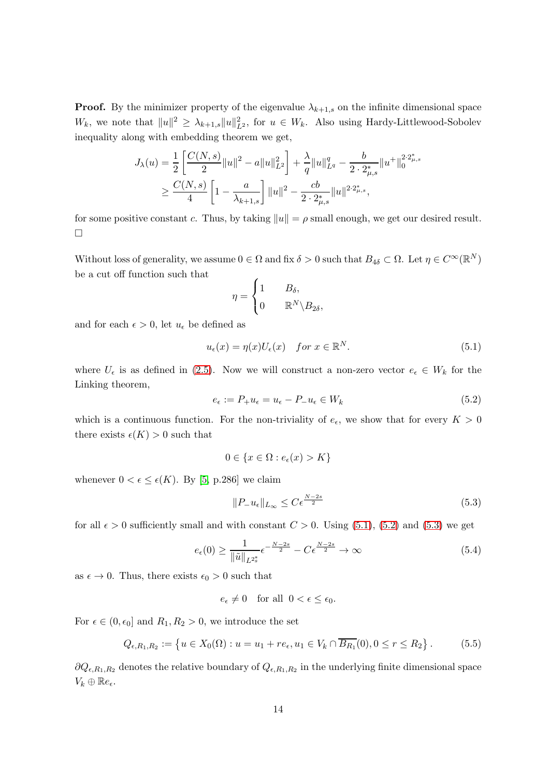**Proof.** By the minimizer property of the eigenvalue  $\lambda_{k+1,s}$  on the infinite dimensional space  $W_k$ , we note that  $||u||^2 \geq \lambda_{k+1,s} ||u||^2_{L^2}$ , for  $u \in W_k$ . Also using Hardy-Littlewood-Sobolev inequality along with embedding theorem we get,

$$
J_{\lambda}(u) = \frac{1}{2} \left[ \frac{C(N,s)}{2} ||u||^2 - a||u||_{L^2}^2 \right] + \frac{\lambda}{q} ||u||_{L^q}^q - \frac{b}{2 \cdot 2_{\mu,s}^*} ||u^+||_0^{2 \cdot 2_{\mu,s}^*}
$$
  

$$
\geq \frac{C(N,s)}{4} \left[ 1 - \frac{a}{\lambda_{k+1,s}} \right] ||u||^2 - \frac{cb}{2 \cdot 2_{\mu,s}^*} ||u||^{2 \cdot 2_{\mu,s}^*},
$$

for some positive constant c. Thus, by taking  $||u|| = \rho$  small enough, we get our desired result.  $\Box$ 

Without loss of generality, we assume  $0 \in \Omega$  and fix  $\delta > 0$  such that  $B_{4\delta} \subset \Omega$ . Let  $\eta \in C^{\infty}(\mathbb{R}^N)$ be a cut off function such that

$$
\eta = \begin{cases} 1 & B_{\delta}, \\ 0 & \mathbb{R}^N \backslash B_{2\delta}, \end{cases}
$$

and for each  $\epsilon > 0$ , let  $u_{\epsilon}$  be defined as

<span id="page-13-0"></span>
$$
u_{\epsilon}(x) = \eta(x)U_{\epsilon}(x) \quad \text{for } x \in \mathbb{R}^{N}.
$$
\n
$$
(5.1)
$$

where  $U_{\epsilon}$  is as defined in [\(2.5\)](#page-5-2). Now we will construct a non-zero vector  $e_{\epsilon} \in W_k$  for the Linking theorem,

<span id="page-13-1"></span>
$$
e_{\epsilon} := P_{+}u_{\epsilon} = u_{\epsilon} - P_{-}u_{\epsilon} \in W_{k}
$$
\n
$$
(5.2)
$$

which is a continuous function. For the non-triviality of  $e_{\epsilon}$ , we show that for every  $K > 0$ there exists  $\epsilon(K) > 0$  such that

$$
0 \in \{x \in \Omega : e_{\epsilon}(x) > K\}
$$

whenever  $0 < \epsilon \leq \epsilon(K)$ . By [\[5,](#page-23-4) p.286] we claim

<span id="page-13-2"></span>
$$
||P_{-}u_{\epsilon}||_{L_{\infty}} \leq C\epsilon^{\frac{N-2s}{2}}\tag{5.3}
$$

for all  $\epsilon > 0$  sufficiently small and with constant  $C > 0$ . Using [\(5.1\)](#page-13-0), [\(5.2\)](#page-13-1) and [\(5.3\)](#page-13-2) we get

<span id="page-13-3"></span>
$$
e_{\epsilon}(0) \ge \frac{1}{\|\tilde{u}\|_{L^{2_s^*}}} \epsilon^{-\frac{N-2s}{2}} - C\epsilon^{\frac{N-2s}{2}} \to \infty \tag{5.4}
$$

as  $\epsilon \to 0$ . Thus, there exists  $\epsilon_0 > 0$  such that

 $e_{\epsilon} \neq 0$  for all  $0 < \epsilon \leq \epsilon_0$ .

For  $\epsilon \in (0, \epsilon_0]$  and  $R_1, R_2 > 0$ , we introduce the set

$$
Q_{\epsilon,R_1,R_2} := \{ u \in X_0(\Omega) : u = u_1 + re_{\epsilon}, u_1 \in V_k \cap \overline{B_{R_1}}(0), 0 \le r \le R_2 \}.
$$
 (5.5)

<span id="page-13-4"></span> $\partial Q_{\epsilon,R_1,R_2}$  denotes the relative boundary of  $Q_{\epsilon,R_1,R_2}$  in the underlying finite dimensional space  $V_k \oplus \mathbb{R}e_{\epsilon}$ .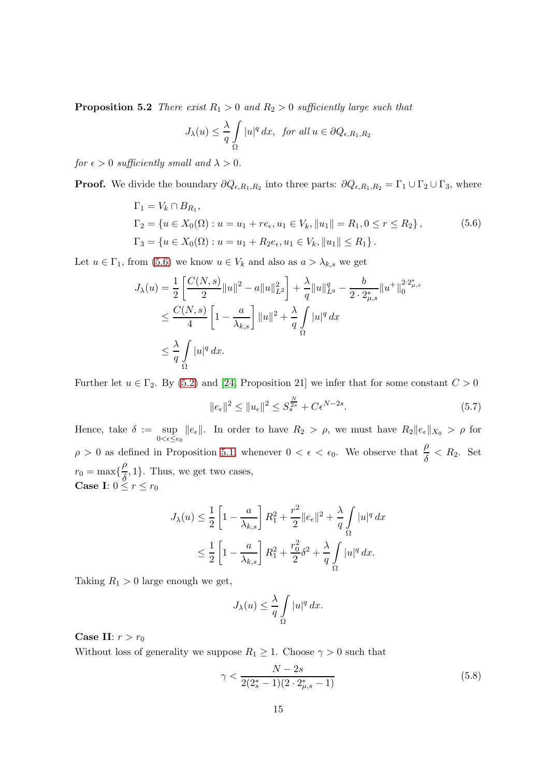**Proposition 5.2** There exist  $R_1 > 0$  and  $R_2 > 0$  sufficiently large such that

$$
J_{\lambda}(u) \leq \frac{\lambda}{q} \int_{\Omega} |u|^q dx, \text{ for all } u \in \partial Q_{\epsilon, R_1, R_2}
$$

for  $\epsilon > 0$  sufficiently small and  $\lambda > 0$ .

**Proof.** We divide the boundary  $\partial Q_{\epsilon,R_1,R_2}$  into three parts:  $\partial Q_{\epsilon,R_1,R_2} = \Gamma_1 \cup \Gamma_2 \cup \Gamma_3$ , where

<span id="page-14-0"></span>
$$
\Gamma_1 = V_k \cap B_{R_1},
$$
  
\n
$$
\Gamma_2 = \{ u \in X_0(\Omega) : u = u_1 + re_{\epsilon}, u_1 \in V_k, ||u_1|| = R_1, 0 \le r \le R_2 \},
$$
  
\n
$$
\Gamma_3 = \{ u \in X_0(\Omega) : u = u_1 + R_2 e_{\epsilon}, u_1 \in V_k, ||u_1|| \le R_1 \}.
$$
\n(5.6)

Let  $u \in \Gamma_1$ , from [\(5.6\)](#page-14-0) we know  $u \in V_k$  and also as  $a > \lambda_{k,s}$  we get

$$
J_{\lambda}(u) = \frac{1}{2} \left[ \frac{C(N,s)}{2} ||u||^{2} - a||u||_{L^{2}}^{2} \right] + \frac{\lambda}{q} ||u||_{L^{q}}^{q} - \frac{b}{2 \cdot 2_{\mu,s}^{*}} ||u^{+}||_{0}^{2 \cdot 2_{\mu,s}^{*}}
$$
  

$$
\leq \frac{C(N,s)}{4} \left[ 1 - \frac{a}{\lambda_{k,s}} \right] ||u||^{2} + \frac{\lambda}{q} \int_{\Omega} |u|^{q} dx
$$
  

$$
\leq \frac{\lambda}{q} \int_{\Omega} |u|^{q} dx.
$$

Further let  $u \in \Gamma_2$ . By [\(5.2\)](#page-13-1) and [\[24,](#page-25-0) Proposition 21] we infer that for some constant  $C > 0$ 

<span id="page-14-2"></span>
$$
||e_{\epsilon}||^{2} \le ||u_{\epsilon}||^{2} \le S_{s}^{\frac{N}{2s}} + C\epsilon^{N-2s}.
$$
\n(5.7)

Hence, take  $\delta := \sup$  $\sup_{0 \le \epsilon \le \epsilon_0} ||e_{\epsilon}||$ . In order to have  $R_2 > \rho$ , we must have  $R_2 ||e_{\epsilon}||_{X_0} > \rho$  for  $\rho > 0$  as defined in Proposition [5.1,](#page-12-0) whenever  $0 < \epsilon < \epsilon_0$ . We observe that  $\frac{\rho}{\delta} < R_2$ . Set  $r_0 = \max\left\{\frac{\rho}{s}\right\}$  $\frac{\rho}{\delta}$ , 1}. Thus, we get two cases, Case I:  $0 \le r \le r_0$ 

$$
J_{\lambda}(u) \leq \frac{1}{2} \left[ 1 - \frac{a}{\lambda_{k,s}} \right] R_1^2 + \frac{r^2}{2} ||e_{\epsilon}||^2 + \frac{\lambda}{q} \int_{\Omega} |u|^q dx
$$
  

$$
\leq \frac{1}{2} \left[ 1 - \frac{a}{\lambda_{k,s}} \right] R_1^2 + \frac{r_0^2}{2} \delta^2 + \frac{\lambda}{q} \int_{\Omega} |u|^q dx.
$$

Taking  $R_1 > 0$  large enough we get,

$$
J_{\lambda}(u) \leq \frac{\lambda}{q} \int\limits_{\Omega} |u|^q \, dx.
$$

Case II:  $r > r_0$ 

Without loss of generality we suppose  $R_1 \geq 1$ . Choose  $\gamma > 0$  such that

<span id="page-14-1"></span>
$$
\gamma < \frac{N - 2s}{2(2_s^* - 1)(2 \cdot 2_{\mu, s}^* - 1)}\tag{5.8}
$$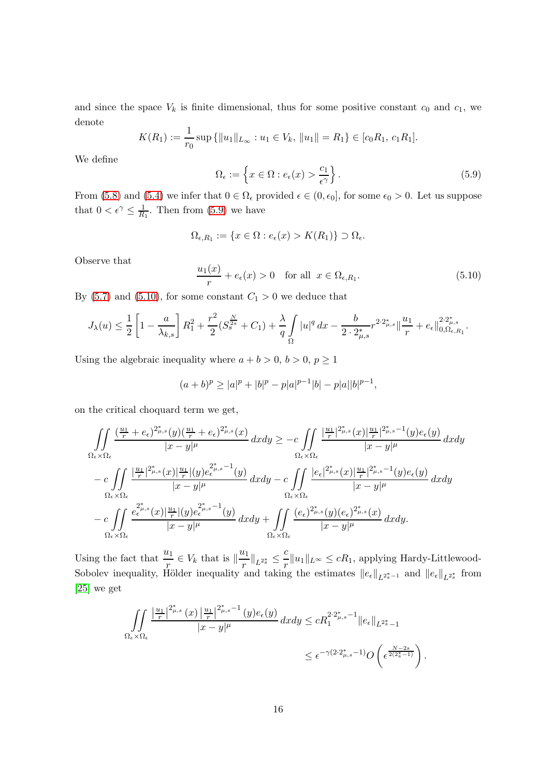and since the space  $V_k$  is finite dimensional, thus for some positive constant  $c_0$  and  $c_1$ , we denote

$$
K(R_1) := \frac{1}{r_0} \sup \{ ||u_1||_{L_{\infty}} : u_1 \in V_k, ||u_1|| = R_1 \} \in [c_0 R_1, c_1 R_1].
$$

We define

<span id="page-15-0"></span>
$$
\Omega_{\epsilon} := \left\{ x \in \Omega : e_{\epsilon}(x) > \frac{c_1}{\epsilon^{\gamma}} \right\}.
$$
\n(5.9)

From [\(5.8\)](#page-14-1) and [\(5.4\)](#page-13-3) we infer that  $0 \in \Omega_{\epsilon}$  provided  $\epsilon \in (0, \epsilon_0]$ , for some  $\epsilon_0 > 0$ . Let us suppose that  $0 < \epsilon^{\gamma} \leq \frac{1}{R_1}$ . Then from [\(5.9\)](#page-15-0) we have

$$
\Omega_{\epsilon,R_1} := \{ x \in \Omega : e_{\epsilon}(x) > K(R_1) \} \supset \Omega_{\epsilon}.
$$

Observe that

<span id="page-15-1"></span>
$$
\frac{u_1(x)}{r} + e_\epsilon(x) > 0 \quad \text{for all} \ \ x \in \Omega_{\epsilon, R_1}.\tag{5.10}
$$

By [\(5.7\)](#page-14-2) and [\(5.10\)](#page-15-1), for some constant  $C_1 > 0$  we deduce that

$$
J_{\lambda}(u) \leq \frac{1}{2} \left[ 1 - \frac{a}{\lambda_{k,s}} \right] R_1^2 + \frac{r^2}{2} (S_s^{\frac{N}{2s}} + C_1) + \frac{\lambda}{q} \int_{\Omega} |u|^q dx - \frac{b}{2 \cdot 2_{\mu,s}^*} r^{2 \cdot 2_{\mu,s}^*} \|\frac{u_1}{r} + e_{\epsilon} \|\frac{v_2 v_{\mu,s}}{v_0 \Omega_{\epsilon,R_1}}.
$$

Using the algebraic inequality where  $a + b > 0$ ,  $b > 0$ ,  $p \ge 1$ 

$$
(a+b)^p \ge |a|^p + |b|^p - p|a|^{p-1}|b| - p|a||b|^{p-1},
$$

on the critical choquard term we get,

$$
\iint_{\Omega_{\epsilon}\times\Omega_{\epsilon}}\frac{\left(\frac{u_{1}}{r}+e_{\epsilon}\right)^{2_{\mu,s}^{\ast}}(y)\left(\frac{u_{1}}{r}+e_{\epsilon}\right)^{2_{\mu,s}^{\ast}}(x)}{|x-y|^{\mu}}dxdy \geq -c \iint_{\Omega_{\epsilon}\times\Omega_{\epsilon}}\frac{\left|\frac{u_{1}}{r}\right|^{2_{\mu,s}^{\ast}}(x)\left|\frac{u_{1}}{r}\right|^{2_{\mu,s}^{\ast}-1}(y)e_{\epsilon}(y)}{|x-y|^{\mu}}dxdy
$$
\n
$$
-c \iint_{\Omega_{\epsilon}\times\Omega_{\epsilon}}\frac{\left|\frac{u_{1}}{r}\right|^{2_{\mu,s}^{\ast}}(x)\left|\frac{u_{1}}{r}\right|(y)e_{\epsilon}^{2_{\mu,s}^{\ast}-1}(y)}{|x-y|^{\mu}}dxdy -c \iint_{\Omega_{\epsilon}\times\Omega_{\epsilon}}\frac{|e_{\epsilon}|^{2_{\mu,s}^{\ast}}(x)\left|\frac{u_{1}}{r}\right|^{2_{\mu,s}^{\ast}-1}(y)e_{\epsilon}(y)}{|x-y|^{\mu}}dxdy
$$
\n
$$
-c \iint_{\Omega_{\epsilon}\times\Omega_{\epsilon}}\frac{e_{\epsilon}^{2_{\mu,s}^{\ast}}(x)\left|\frac{u_{1}}{r}\right|(y)e_{\epsilon}^{2_{\mu,s}^{\ast}-1}(y)}{|x-y|^{\mu}}dxdy + \iint_{\Omega_{\epsilon}\times\Omega_{\epsilon}}\frac{(e_{\epsilon})^{2_{\mu,s}^{\ast}}(y)(e_{\epsilon})^{2_{\mu,s}^{\ast}}(x)}{|x-y|^{\mu}}dxdy.
$$

Using the fact that  $\frac{u_1}{x} \in V_k$  that is  $\left\| \frac{u_1}{r} \right\|$  $\frac{u_1}{r}$  $\|_{L^{2^*_s}} \leq \frac{c}{r}$  $\frac{1}{r} \|u_1\|_{L^{\infty}} \leq cR_1$ , applying Hardy-Littlewood-Sobolev inequality, Hölder inequality and taking the estimates  $||e_{\epsilon}||_{L^{2_{s}^{*}-1}}$  and  $||e_{\epsilon}||_{L^{2_{s}^{*}}}$  from [\[25\]](#page-25-1) we get

$$
\iint_{\Omega_{\epsilon} \times \Omega_{\epsilon}} \frac{\left| \frac{u_{1}}{r} \right|^{2_{\mu,s}^{*}} (x) \left| \frac{u_{1}}{r} \right|^{2_{\mu,s}^{*}-1} (y) e_{\epsilon}(y)}{|x - y|^{\mu}} dxdy \le c R_{1}^{2 \cdot 2_{\mu,s}^{*}-1} \|e_{\epsilon}\|_{L^{2_{s}^{*}} - 1}
$$
  

$$
\le \epsilon^{-\gamma (2 \cdot 2_{\mu,s}^{*} - 1)} O\left(\epsilon^{\frac{N - 2s}{2(2_{s}^{*} - 1)}}\right).
$$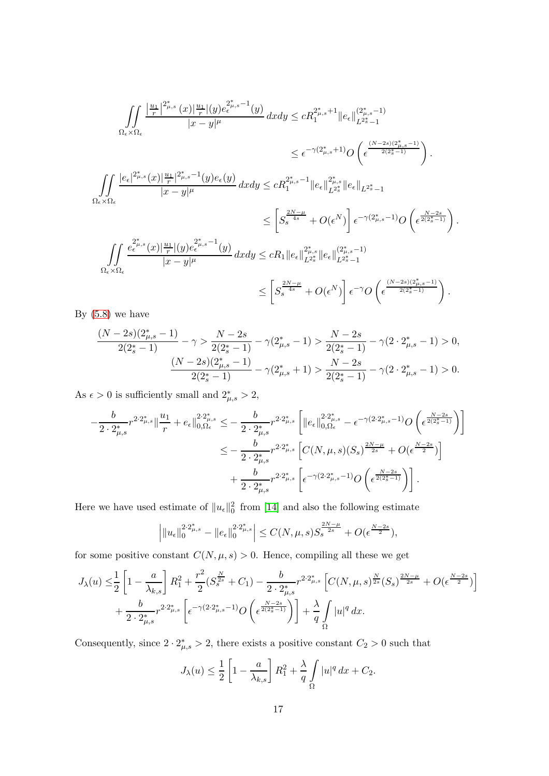$$
\iint_{\Omega_{\epsilon}\times\Omega_{\epsilon}} \frac{|\frac{u_{1}}{r}|^{2_{\mu,s}^{*}}(x)|\frac{u_{1}}{r}|(y)e_{\epsilon}^{2_{\mu,s}^{*}-1}(y)}{|x-y|^{\mu}} dxdy \leq c R_{1}^{2_{\mu,s}^{*}+1} \|e_{\epsilon}\|_{L^{2_{\sigma}^{*}}-1}^{(2_{\mu,s}^{*}-1)} \leq \epsilon^{-\gamma(2_{\mu,s}^{*}+1)} O\left(\epsilon^{\frac{(N-2s)(2_{\mu,s}^{*}-1)}{2(2_{\sigma}^{*}-1)}}\right).
$$
\n
$$
\iint_{\Omega_{\epsilon}\times\Omega_{\epsilon}} \frac{|e_{\epsilon}|^{2_{\mu,s}^{*}}(x)|\frac{u_{1}}{r}|^{2_{\mu,s}^{*}-1}(y)e_{\epsilon}(y)}{|x-y|^{\mu}} dxdy \leq c R_{1}^{2_{\mu,s}^{*}-1} \|e_{\epsilon}\|_{L^{2_{\sigma}^{*}}-1}^{2_{\mu,s}} \|e_{\epsilon}\|_{L^{2_{\sigma}^{*}}-1}^{2_{\mu,s}-1} \leq \left[s_{s}^{\frac{2N-\mu}{4s}} + O(\epsilon^{N})\right] \epsilon^{-\gamma(2_{\mu,s}^{*}-1)} O\left(\epsilon^{\frac{N-2s}{2(2_{\sigma}^{*}-1)}}\right).
$$
\n
$$
\iint_{\Omega_{\epsilon}\times\Omega_{\epsilon}} \frac{e_{\epsilon}^{2_{\mu,s}^{*}}(x)|\frac{u_{1}}{r}|(y)e_{\epsilon}^{2_{\mu,s}-1}(y)}{|x-y|^{\mu}} dxdy \leq c R_{1} \|e_{\epsilon}\|_{L^{2_{\mu}^{*}}}^{2_{\mu,s}^{*}} \|e_{\epsilon}\|_{L^{2_{\sigma}^{*}}-1}^{(2_{\mu,s}-1)} \leq \left[s_{s}^{\frac{2N-\mu}{4s}} + O(\epsilon^{N})\right] \epsilon^{-\gamma} O\left(\epsilon^{\frac{(N-2s)(2_{\mu,s}^{*}-1)}{2(2_{\sigma}^{*}-1)}}\right).
$$

By  $(5.8)$  we have

$$
\frac{(N-2s)(2_{\mu,s}^*-1)}{2(2_s^*-1)}-\gamma>\frac{N-2s}{2(2_s^*-1)}-\gamma(2_{\mu,s}^*-1)>\frac{N-2s}{2(2_s^*-1)}-\gamma(2\cdot2_{\mu,s}^*-1)>0,\\ \frac{(N-2s)(2_{\mu,s}^*-1)}{2(2_s^*-1)}-\gamma(2_{\mu,s}^*+1)>\frac{N-2s}{2(2_s^*-1)}-\gamma(2\cdot2_{\mu,s}^*-1)>0.
$$

As  $\epsilon > 0$  is sufficiently small and  $2^*_{\mu,s} > 2$ ,

$$
-\frac{b}{2 \cdot 2_{\mu,s}^*} r^{2 \cdot 2_{\mu,s}^*} \|\frac{u_1}{r} + e_{\epsilon}\|_{0,\Omega_{\epsilon}}^{2 \cdot 2_{\mu,s}^*} \leq -\frac{b}{2 \cdot 2_{\mu,s}^*} r^{2 \cdot 2_{\mu,s}^*} \left[\|e_{\epsilon}\|_{0,\Omega_{\epsilon}}^{2 \cdot 2_{\mu,s}^*} - \epsilon^{-\gamma(2 \cdot 2_{\mu,s}^* - 1)} O\left(\epsilon^{\frac{N-2s}{2(2_s^* - 1)}}\right)\right] \n\leq -\frac{b}{2 \cdot 2_{\mu,s}^*} r^{2 \cdot 2_{\mu,s}^*} \left[C(N, \mu, s)(S_s)^{\frac{2N-\mu}{2s}} + O(\epsilon^{\frac{N-2s}{2}})\right] \n+ \frac{b}{2 \cdot 2_{\mu,s}^*} r^{2 \cdot 2_{\mu,s}^*} \left[\epsilon^{-\gamma(2 \cdot 2_{\mu,s}^* - 1)} O\left(\epsilon^{\frac{N-2s}{2(2_s^* - 1)}}\right)\right].
$$

Here we have used estimate of  $||u_{\epsilon}||_{0}^{2}$  from [\[14\]](#page-24-12) and also the following estimate

$$
\left| \|u_{\epsilon}\|_{0}^{2 \cdot 2_{\mu,s}^*} - \|e_{\epsilon}\|_{0}^{2 \cdot 2_{\mu,s}^*} \right| \leq C(N,\mu,s) S_s^{\frac{2N-\mu}{2s}} + O(\epsilon^{\frac{N-2s}{2}}),
$$

for some positive constant  $C(N,\mu,s)>0.$  Hence, compiling all these we get

$$
J_{\lambda}(u) \leq \frac{1}{2} \left[ 1 - \frac{a}{\lambda_{k,s}} \right] R_{1}^{2} + \frac{r^{2}}{2} (S_{s}^{\frac{N}{2s}} + C_{1}) - \frac{b}{2 \cdot 2_{\mu,s}^{*}} r^{2 \cdot 2_{\mu,s}^{*}} \left[ C(N,\mu,s)^{\frac{N}{2s}} (S_{s})^{\frac{2N-\mu}{2s}} + O(\epsilon^{\frac{N-2s}{2}}) \right] + \frac{b}{2 \cdot 2_{\mu,s}^{*}} r^{2 \cdot 2_{\mu,s}^{*}} \left[ \epsilon^{-\gamma(2 \cdot 2_{\mu,s}^{*}-1)} O\left(\epsilon^{\frac{N-2s}{2(2_{s}^{*}-1)}}\right) \right] + \frac{\lambda}{q} \int_{\Omega} |u|^{q} dx.
$$

Consequently, since  $2 \cdot 2^*_{\mu,s} > 2$ , there exists a positive constant  $C_2 > 0$  such that

$$
J_{\lambda}(u) \leq \frac{1}{2} \left[ 1 - \frac{a}{\lambda_{k,s}} \right] R_1^2 + \frac{\lambda}{q} \int_{\Omega} |u|^q dx + C_2.
$$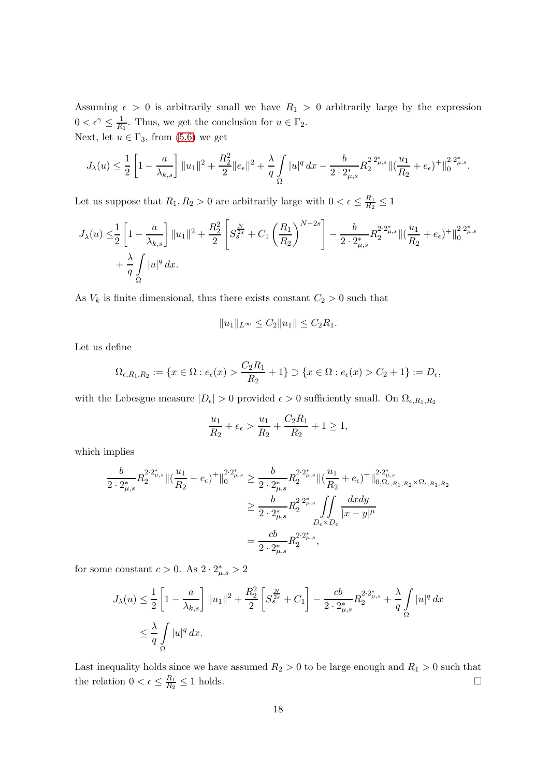Assuming  $\epsilon > 0$  is arbitrarily small we have  $R_1 > 0$  arbitrarily large by the expression  $0 < \epsilon^{\gamma} \leq \frac{1}{R_1}$ . Thus, we get the conclusion for  $u \in \Gamma_2$ . Next, let  $u \in \Gamma_3$ , from [\(5.6\)](#page-14-0) we get

$$
J_{\lambda}(u) \leq \frac{1}{2}\left[1 - \frac{a}{\lambda_{k,s}}\right]\|u_1\|^2 + \frac{R_2^2}{2}\|e_{\epsilon}\|^2 + \frac{\lambda}{q}\int\limits_{\Omega}|u|^q\,dx - \frac{b}{2\cdot 2_{\mu,s}^*}R_2^{2\cdot 2_{\mu,s}^*}\|(\frac{u_1}{R_2} + e_{\epsilon})^+\|_0^{2\cdot 2_{\mu,s}^*}.
$$

Let us suppose that  $R_1, R_2 > 0$  are arbitrarily large with  $0 < \epsilon \leq \frac{R_1}{R_2}$  $\frac{R_1}{R_2} \leq 1$ 

$$
J_{\lambda}(u) \leq \frac{1}{2} \left[ 1 - \frac{a}{\lambda_{k,s}} \right] \|u_1\|^2 + \frac{R_2^2}{2} \left[ S_s^{\frac{N}{2s}} + C_1 \left( \frac{R_1}{R_2} \right)^{N-2s} \right] - \frac{b}{2 \cdot 2_{\mu,s}^*} R_2^{2 \cdot 2_{\mu,s}^*} \| (\frac{u_1}{R_2} + e_{\epsilon})^+ \|_0^{2 \cdot 2_{\mu,s}^*}
$$
  
+ 
$$
\frac{\lambda}{q} \int_{\Omega} |u|^q dx.
$$

As  $V_k$  is finite dimensional, thus there exists constant  $C_2 > 0$  such that

$$
||u_1||_{L^{\infty}} \leq C_2 ||u_1|| \leq C_2 R_1.
$$

Let us define

$$
\Omega_{\epsilon, R_1, R_2} := \{ x \in \Omega : e_{\epsilon}(x) > \frac{C_2 R_1}{R_2} + 1 \} \supset \{ x \in \Omega : e_{\epsilon}(x) > C_2 + 1 \} := D_{\epsilon},
$$

with the Lebesgue measure  $|D_{\epsilon}| > 0$  provided  $\epsilon > 0$  sufficiently small. On  $\Omega_{\epsilon, R_1, R_2}$ 

$$
\frac{u_1}{R_2} + e_{\epsilon} > \frac{u_1}{R_2} + \frac{C_2 R_1}{R_2} + 1 \ge 1,
$$

which implies

$$
\frac{b}{2 \cdot 2_{\mu,s}^*} R_2^{2 \cdot 2_{\mu,s}^*} \| (\frac{u_1}{R_2} + e_{\epsilon})^+ \|_0^{2 \cdot 2_{\mu,s}^*} \ge \frac{b}{2 \cdot 2_{\mu,s}^*} R_2^{2 \cdot 2_{\mu,s}^*} \| (\frac{u_1}{R_2} + e_{\epsilon})^+ \|_{0,\Omega_{\epsilon,R_1,R_2} \times \Omega_{\epsilon,R_1,R_2}}^{2 \cdot 2_{\mu,s}^*} \ge \frac{b}{2 \cdot 2_{\mu,s}^*} R_2^{2 \cdot 2_{\mu,s}^*} \iint\limits_{D_{\epsilon} \times D_{\epsilon}} \frac{dxdy}{|x - y|^{\mu}} \n= \frac{cb}{2 \cdot 2_{\mu,s}^*} R_2^{2 \cdot 2_{\mu,s}^*},
$$

for some constant  $c > 0$ . As  $2 \cdot 2^*_{\mu,s} > 2$ 

$$
J_{\lambda}(u) \leq \frac{1}{2} \left[ 1 - \frac{a}{\lambda_{k,s}} \right] \|u_1\|^2 + \frac{R_2^2}{2} \left[ S_s^{\frac{N}{2s}} + C_1 \right] - \frac{cb}{2 \cdot 2_{\mu,s}^*} R_2^{2 \cdot 2_{\mu,s}^*} + \frac{\lambda}{q} \int_{\Omega} |u|^q dx
$$
  

$$
\leq \frac{\lambda}{q} \int_{\Omega} |u|^q dx.
$$

Last inequality holds since we have assumed  $R_2 > 0$  to be large enough and  $R_1 > 0$  such that the relation  $0 < \epsilon \leq \frac{R_1}{R_2}$  $\frac{R_1}{R_2} \leq 1$  holds.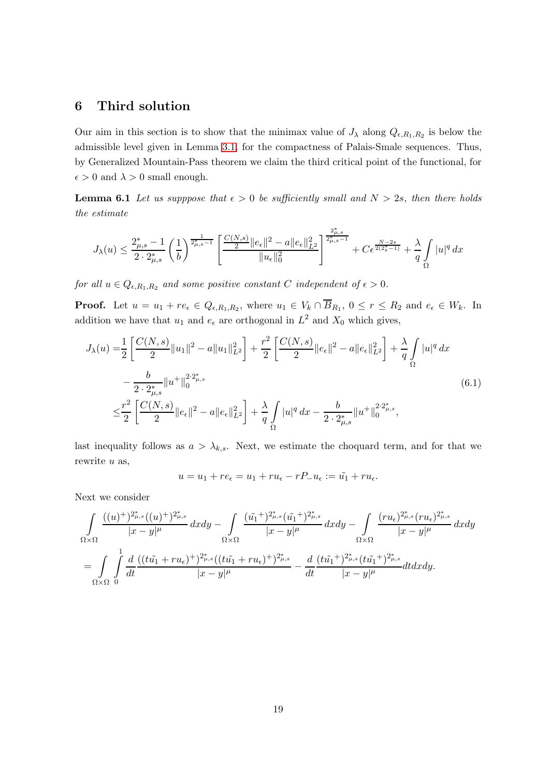# 6 Third solution

Our aim in this section is to show that the minimax value of  $J_{\lambda}$  along  $Q_{\epsilon,R_1,R_2}$  is below the admissible level given in Lemma [3.1,](#page-6-1) for the compactness of Palais-Smale sequences. Thus, by Generalized Mountain-Pass theorem we claim the third critical point of the functional, for  $\epsilon > 0$  and  $\lambda > 0$  small enough.

**Lemma 6.1** Let us supppose that  $\epsilon > 0$  be sufficiently small and  $N > 2s$ , then there holds the estimate

$$
J_{\lambda}(u) \leq \frac{2_{\mu,s}^{\ast}-1}{2\cdot2_{\mu,s}^{\ast}}\left(\frac{1}{b}\right)^{\frac{1}{2_{\mu,s}^{\ast}-1}}\left[\frac{\frac{C(N,s)}{2}\|e_{\epsilon}\|^2-a\|e_{\epsilon}\|_{L^2}^2}{\|u_{\epsilon}\|_0^2}\right]^{\frac{2_{\mu,s}^{\ast}}{2_{\mu,s}^{\ast}-1}}+C\epsilon^{\frac{N-2s}{2(2_{s}^{\ast}-1)}}+\frac{\lambda}{q}\int\limits_{\Omega}|u|^q\,dx
$$

for all  $u \in Q_{\epsilon, R_1, R_2}$  and some positive constant C independent of  $\epsilon > 0$ .

**Proof.** Let  $u = u_1 + re_{\epsilon} \in Q_{\epsilon, R_1, R_2}$ , where  $u_1 \in V_k \cap B_{R_1}$ ,  $0 \le r \le R_2$  and  $e_{\epsilon} \in W_k$ . In addition we have that  $u_1$  and  $e_\epsilon$  are orthogonal in  $L^2$  and  $X_0$  which gives,

<span id="page-18-0"></span>
$$
J_{\lambda}(u) = \frac{1}{2} \left[ \frac{C(N,s)}{2} ||u_1||^2 - a||u_1||_{L^2}^2 \right] + \frac{r^2}{2} \left[ \frac{C(N,s)}{2} ||e_{\epsilon}||^2 - a||e_{\epsilon}||_{L^2}^2 \right] + \frac{\lambda}{q} \int_{\Omega} |u|^q dx
$$
  

$$
- \frac{b}{2 \cdot 2_{\mu,s}^*} ||u^+||_0^{2 \cdot 2_{\mu,s}^*} \tag{6.1}
$$
  

$$
\leq \frac{r^2}{2} \left[ \frac{C(N,s)}{2} ||e_{\epsilon}||^2 - a||e_{\epsilon}||_{L^2}^2 \right] + \frac{\lambda}{q} \int_{\Omega} |u|^q dx - \frac{b}{2 \cdot 2_{\mu,s}^*} ||u^+||_0^{2 \cdot 2_{\mu,s}^*},
$$

last inequality follows as  $a > \lambda_{k,s}$ . Next, we estimate the choquard term, and for that we rewrite  $u$  as,

$$
u = u_1 + re_{\epsilon} = u_1 + ru_{\epsilon} - rP_{-}u_{\epsilon} := \tilde{u_1} + ru_{\epsilon}.
$$

Next we consider

$$
\int_{\Omega \times \Omega} \frac{((u)^+)^{2^*_{\mu,s}}((u)^+)^{2^*_{\mu,s}}}{|x-y|^\mu} dxdy - \int_{\Omega \times \Omega} \frac{(\tilde{u_1}^+)^{2^*_{\mu,s}}(\tilde{u_1}^+)^{2^*_{\mu,s}}}{|x-y|^\mu} dxdy - \int_{\Omega \times \Omega} \frac{(ru_\epsilon)^{2^*_{\mu,s}}(ru_\epsilon)^{2^*_{\mu,s}}}{|x-y|^\mu} dxdy
$$

$$
= \int_{\Omega \times \Omega} \int_{0}^{1} \frac{d}{dt} \frac{((t\tilde{u_1}+ru_\epsilon)^+)^{2^*_{\mu,s}}((t\tilde{u_1}+ru_\epsilon)^+)^{2^*_{\mu,s}}}{|x-y|^\mu} - \frac{d}{dt} \frac{(t\tilde{u_1}^+)^{2^*_{\mu,s}}(t\tilde{u_1}^+)^{2^*_{\mu,s}}_{\mu,s}}{|x-y|^\mu} dt dx dy.
$$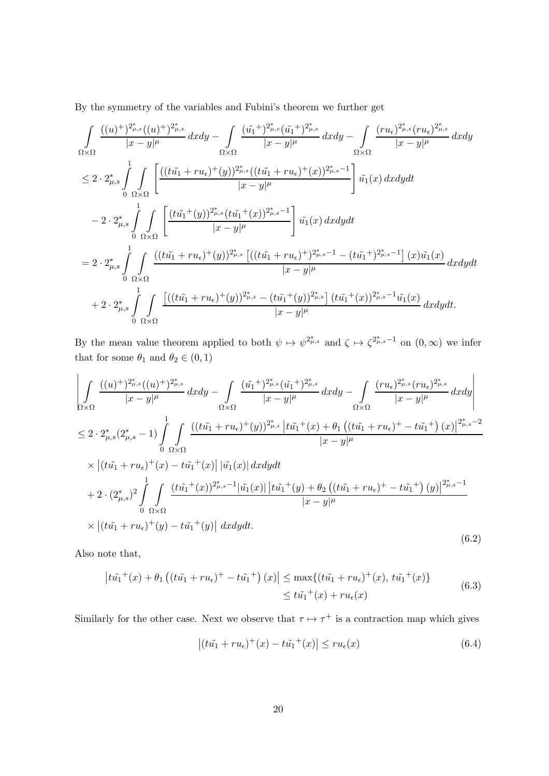By the symmetry of the variables and Fubini's theorem we further get

$$
\int_{\Omega\times\Omega} \frac{((u)^+)^{2_{\mu,s}^*}((u)^+)^{2_{\mu,s}^*}}{|x-y|^{\mu}} dxdy - \int_{\Omega\times\Omega} \frac{(\tilde{u_1}^+)^{2_{\mu,s}^*}(\tilde{u_1}^+)^{2_{\mu,s}^*}}{|x-y|^{\mu}} dxdy - \int_{\Omega\times\Omega} \frac{(ru_{\epsilon})^{2_{\mu,s}^*}(ru_{\epsilon})^{2_{\mu,s}^*}}{|x-y|^{\mu}} dxdy
$$
\n
$$
\leq 2 \cdot 2_{\mu,s}^* \int_{0}^{1} \int_{\Omega\times\Omega} \left[ \frac{((t\tilde{u_1}+ru_{\epsilon})^+(y))^{2_{\mu,s}^*}((t\tilde{u_1}+ru_{\epsilon})^+(x))^{2_{\mu,s}^*-1}}{|x-y|^{\mu}} \right] \tilde{u_1}(x) dxdydt
$$
\n
$$
- 2 \cdot 2_{\mu,s}^* \int_{0}^{1} \int_{\Omega\times\Omega} \left[ \frac{(t\tilde{u_1}^+(y))^{2_{\mu,s}^*}(t\tilde{u_1}^+(x))^{2_{\mu,s}^*-1}}{|x-y|^{\mu}} \right] \tilde{u_1}(x) dxdydt
$$
\n
$$
= 2 \cdot 2_{\mu,s}^* \int_{0}^{1} \int_{\Omega\times\Omega} \frac{((t\tilde{u_1}+ru_{\epsilon})^+(y))^{2_{\mu,s}^*} \left[ ((t\tilde{u_1}+ru_{\epsilon})^+)^{2_{\mu,s}^*-1} - (t\tilde{u_1}^+)^{2_{\mu,s}^*-1} \right] (x)\tilde{u_1}(x)}{|x-y|^{\mu}} dxdydt
$$
\n
$$
+ 2 \cdot 2_{\mu,s}^* \int_{0}^{1} \int_{\Omega\times\Omega} \frac{\left[ ((t\tilde{u_1}+ru_{\epsilon})^+(y))^{2_{\mu,s}^*} - (t\tilde{u_1}^+(y))^{2_{\mu,s}^*} \right] (t\tilde{u_1}^+(x))^{2_{\mu,s}^*-1} \tilde{u_1}(x)}{|x-y|^{\mu}} dxdydt.
$$

By the mean value theorem applied to both  $\psi \mapsto \psi^{2^*_{\mu,s}}$  and  $\zeta \mapsto \zeta^{2^*_{\mu,s}-1}$  on  $(0,\infty)$  we infer that for some  $\theta_1$  and  $\theta_2 \in (0,1)$ 

<span id="page-19-2"></span>
$$
\left| \int_{\Omega \times \Omega} \frac{((u)^{+})^{2_{\mu,s}^{*}}((u)^{+})^{2_{\mu,s}^{*}}}{|x-y|^{\mu}} dxdy - \int_{\Omega \times \Omega} \frac{(\tilde{u}_{1}^{+})^{2_{\mu,s}^{*}}(\tilde{u}_{1}^{+})^{2_{\mu,s}^{*}}}{|x-y|^{\mu}} dxdy - \int_{\Omega \times \Omega} \frac{(ru_{\epsilon})^{2_{\mu,s}^{*}}(ru_{\epsilon})^{2_{\mu,s}^{*}}}{|x-y|^{\mu}} dxdy \right|
$$
  
\n
$$
\leq 2 \cdot 2_{\mu,s}^{*} (2_{\mu,s}^{*} - 1) \int_{0}^{1} \int_{\Omega \times \Omega} \frac{((t\tilde{u}_{1}^{*} + ru_{\epsilon})^{+}(y))^{2_{\mu,s}^{*}} |t\tilde{u}_{1}^{*}(x) + \theta_{1} ((t\tilde{u}_{1}^{*} + ru_{\epsilon})^{+} - t\tilde{u}_{1}^{*}) (x)|^{2_{\mu,s}^{*}-2}}{|x-y|^{\mu}} \times |(t\tilde{u}_{1}^{*} + ru_{\epsilon})^{*}(x) - t\tilde{u}_{1}^{*}(x)| |\tilde{u}_{1}^{*}(x)| dxdydt
$$
  
\n
$$
+ 2 \cdot (2_{\mu,s}^{*})^{2} \int_{0}^{1} \int_{\Omega \times \Omega} \frac{(t\tilde{u}_{1}^{*}(x))^{2_{\mu,s}^{*}-1} |\tilde{u}_{1}^{*}(x)| |t\tilde{u}_{1}^{*}(y) + \theta_{2} ((t\tilde{u}_{1}^{*} + ru_{\epsilon})^{+} - t\tilde{u}_{1}^{*}) (y)|^{2_{\mu,s}^{*}-1}}{|x-y|^{\mu}} \times |(t\tilde{u}_{1}^{*} + ru_{\epsilon})^{+}(y) - t\tilde{u}_{1}^{*}(y)| dxdydt.
$$
 (6.2)

Also note that,

<span id="page-19-0"></span>
$$
\left| t\tilde{u_1}^+(x) + \theta_1 \left( (t\tilde{u_1} + ru_\epsilon)^+ - t\tilde{u_1}^+ \right)(x) \right| \le \max\{ (t\tilde{u_1} + ru_\epsilon)^+(x), t\tilde{u_1}^+(x) \}
$$
  

$$
\le t\tilde{u_1}^+(x) + ru_\epsilon(x)
$$
 (6.3)

Similarly for the other case. Next we observe that  $\tau \mapsto \tau^+$  is a contraction map which gives

<span id="page-19-1"></span>
$$
\left| (t\tilde{u_1} + ru_\epsilon)^+(x) - t\tilde{u_1}^+(x) \right| \le ru_\epsilon(x) \tag{6.4}
$$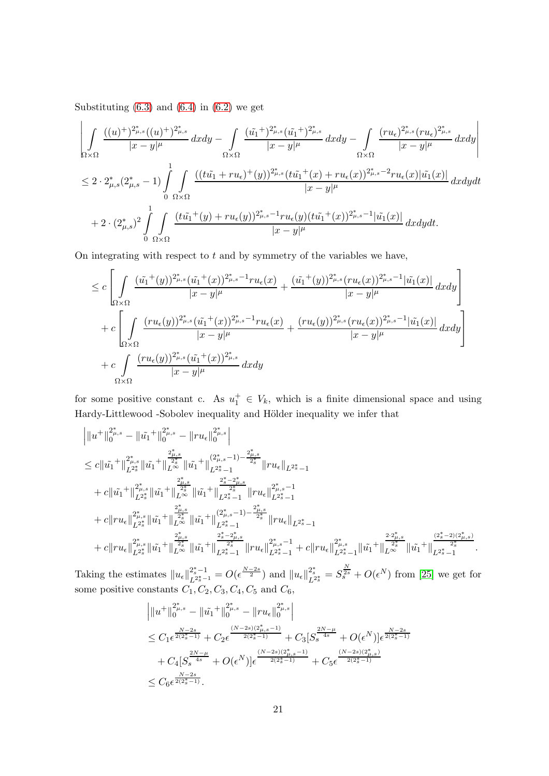Substituting  $(6.3)$  and  $(6.4)$  in  $(6.2)$  we get

$$
\left|\int_{\Omega\times\Omega} \frac{((u)^+)^{2_{\mu,s}^*}((u)^+)^{2_{\mu,s}^*}}{|x-y|^{\mu}}\,dxdy - \int_{\Omega\times\Omega} \frac{(\tilde{u_1}^+)^{2_{\mu,s}^*}(\tilde{u_1}^+)^{2_{\mu,s}^*}}{|x-y|^{\mu}}\,dxdy - \int_{\Omega\times\Omega} \frac{(ru_\epsilon)^{2_{\mu,s}^*}(ru_\epsilon)^{2_{\mu,s}^*}}{|x-y|^{\mu}}\,dxdy \right|
$$
  

$$
\leq 2\cdot 2_{\mu,s}^*(2_{\mu,s}^*-1) \int_{0}^1 \int_{\Omega\times\Omega} \frac{((t\tilde{u_1}+ru_\epsilon)^+(y))^{2_{\mu,s}^*}(t\tilde{u_1}^+(x)+ru_\epsilon(x))^{2_{\mu,s}^*-2}ru_\epsilon(x)|\tilde{u_1}(x)|}{|x-y|^{\mu}}\,dxdydt
$$
  

$$
+ 2\cdot (2_{\mu,s}^*)^2 \int_{0}^1 \int_{\Omega\times\Omega} \frac{(t\tilde{u_1}^+(y)+ru_\epsilon(y))^{2_{\mu,s}^*-1}ru_\epsilon(y)(t\tilde{u_1}^+(x))^{2_{\mu,s}^*-1}|\tilde{u_1}(x)|}{|x-y|^{\mu}}\,dxdydt.
$$

On integrating with respect to  $t$  and by symmetry of the variables we have,

$$
\leq c \left[ \int_{\Omega \times \Omega} \frac{(\tilde{u_1}^+(y))^{2_{\mu,s}^*(\tilde{u_1}^+(x))^{2_{\mu,s}^*-1}ru_{\epsilon}(x)}}{|x-y|^{\mu}} + \frac{(\tilde{u_1}^+(y))^{2_{\mu,s}^*(ru_{\epsilon}(x))^{2_{\mu,s}^*-1}|\tilde{u_1}(x)|}{|x-y|^{\mu}} dxdy \right] + c \left[ \int_{\Omega \times \Omega} \frac{(ru_{\epsilon}(y))^{2_{\mu,s}^*(\tilde{u_1}^+(x))^{2_{\mu,s}^*-1}ru_{\epsilon}(x)}{|x-y|^{\mu}} + \frac{(ru_{\epsilon}(y))^{2_{\mu,s}^*(ru_{\epsilon}(x))^{2_{\mu,s}^*-1}|\tilde{u_1}(x)|}{|x-y|^{\mu}} dxdy \right] + c \int_{\Omega \times \Omega} \frac{(ru_{\epsilon}(y))^{2_{\mu,s}^*(\tilde{u_1}^+(x))^{2_{\mu,s}^*}}{|x-y|^{\mu}} dxdy
$$

for some positive constant c. As  $u_1^+ \in V_k$ , which is a finite dimensional space and using Hardy-Littlewood -Sobolev inequality and Hölder inequality we infer that

$$
\begin{aligned} &\left|\|u^+\|_{0}^{2_{\mu,s}^*}-\|\tilde{u_{1}}^+\|_{0}^{2_{\mu,s}^*}-\|ru_{\epsilon}\|_{0}^{2_{\mu,s}^*}\right|\\ &\leq c\|\tilde{u_{1}}^+\|_{L^{2_s^*}}^{2_{\mu,s}^*}\|\tilde{u_{1}}^+\|_{L^{\infty}}^{\frac{2_{\mu,s}^*}{2_s^*}}\|\tilde{u_{1}}^+\|_{L^{2_s^*-1}}^{(2_{\mu,s}^*-1)-\frac{2_{\mu,s}^*}{2_s^*}}\|ru_{\epsilon}\|_{L^{2_s^*-1}}\\ &+c\|\tilde{u_{1}}^+\|_{L^{2_s^*}}^{2_{\mu,s}^*}\|\tilde{u_{1}}^+\|_{L^{\infty}}^{\frac{2_{\mu,s}^*}{2_s^*}}\|\tilde{u_{1}}^+\|_{L^{2_s^*-1}}^{\frac{2_{\mu,s}^*}{2_s^*}}\|ru_{\epsilon}\|_{L^{2_s^*-1}}^{2_{\mu,s}^*-1}\\ &+c\|ru_{\epsilon}\|_{L^{2_s^*}}^{2_{\mu,s}^*}\|\tilde{u_{1}}^+\|_{L^{\infty}}^{\frac{2_{\mu,s}^*}{2_s^*}}\|\tilde{u_{1}}^+\|_{L^{2_s^*-1}}^{(2_{\mu,s}-1)-\frac{2_{\mu,s}^*}{2_s^*}}\|ru_{\epsilon}\|_{L^{2_s^*-1}}\\ &+c\|ru_{\epsilon}\|_{L^{2_s^*}}^{2_{\mu,s}^*}\|\tilde{u_{1}}^+\|_{L^{\infty}}^{\frac{2_{\mu,s}^*}{2_s^*}}\|\tilde{u_{1}}^+\|_{L^{2_s^*-1}}^{\frac{2_{\mu,s}^*}{2_s^*}}\|ru_{\epsilon}\|_{L^{2_s^*-1}}^{2_{\mu,s}^*}+c\|ru_{\epsilon}\|_{L^{2_s^*-1}}^{2_{\mu,s}^*}\|\tilde{u_{1}}^+\|_{L^{\infty}}^{\frac{2_{\mu,s}^*}{2_{\mu,s}^*}}\,. \end{aligned} \right.
$$

Taking the estimates  $||u_{\epsilon}||_{L^{2_s^*}}^{2_s^*-1}$  $L^{2_s^*-1}_{2_s^*-1} = O(\epsilon^{\frac{N-2s}{2}})$  and  $||u_{\epsilon}||_{L^{2_s^*}}^{2_s^*} = S_s^{\frac{N}{2s}} + O(\epsilon^N)$  from [\[25\]](#page-25-1) we get for some positive constants  $C_1, C_2, C_3, C_4, C_5$  and  $C_6$ ,

$$
\|u^+\|_{0}^{2_{\mu,s}^*} - \|\tilde{u_1}^+\|_{0}^{2_{\mu,s}^*} - \|r u_{\epsilon}\|_{0}^{2_{\mu,s}^*} \n\leq C_1 \epsilon^{\frac{N-2s}{2(2_{s}^*-1)}} + C_2 \epsilon^{\frac{(N-2s)(2_{\mu,s}^*-1)}{2(2_{s}^*-1)}} + C_3[S_s^{\frac{2N-\mu}{4s}} + O(\epsilon^N)] \epsilon^{\frac{N-2s}{2(2_{s}^*-1)}} \n+ C_4[S_s^{\frac{2N-\mu}{4s}} + O(\epsilon^N)] \epsilon^{\frac{(N-2s)(2_{\mu,s}^*-1)}{2(2_{s}^*-1)}} + C_5 \epsilon^{\frac{(N-2s)(2_{\mu,s}^*)}{2(2_{s}^*-1)}} \n\leq C_6 \epsilon^{\frac{N-2s}{2(2_{s}^*-1)}}.
$$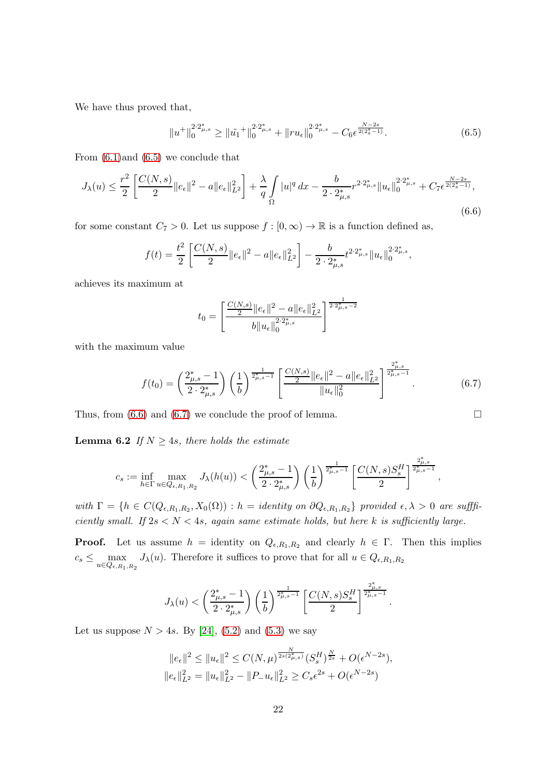We have thus proved that,

<span id="page-21-0"></span>
$$
||u^+||_0^{2\cdot 2_{\mu,s}^*} \ge ||\tilde{u}_1^+||_0^{2\cdot 2_{\mu,s}^*} + ||ru_\epsilon||_0^{2\cdot 2_{\mu,s}^*} - C_6 \epsilon^{\frac{N-2s}{2(2_s^*-1)}}.
$$
\n
$$
(6.5)
$$

From [\(6.1\)](#page-18-0)and [\(6.5\)](#page-21-0) we conclude that

<span id="page-21-1"></span>
$$
J_{\lambda}(u) \leq \frac{r^2}{2} \left[ \frac{C(N,s)}{2} \|e_{\epsilon}\|^2 - a\|e_{\epsilon}\|_{L^2}^2 \right] + \frac{\lambda}{q} \int_{\Omega} |u|^q dx - \frac{b}{2 \cdot 2^*_{\mu,s}} r^{2 \cdot 2^*_{\mu,s}} \|u_{\epsilon}\|_{0}^{2 \cdot 2^*_{\mu,s}} + C_7 \epsilon^{\frac{N-2s}{2(2^*_{s}-1)}},\tag{6.6}
$$

for some constant  $C_7 > 0$ . Let us suppose  $f : [0, \infty) \to \mathbb{R}$  is a function defined as,

$$
f(t) = \frac{t^2}{2} \left[ \frac{C(N,s)}{2} ||e_{\epsilon}||^2 - a||e_{\epsilon}||_{L^2}^2 \right] - \frac{b}{2 \cdot 2^*_{\mu,s}} t^{2 \cdot 2^*_{\mu,s}} ||u_{\epsilon}||_0^{2 \cdot 2^*_{\mu,s}},
$$

achieves its maximum at

$$
t_0 = \left[\frac{\frac{C(N,s)}{2}||e_{\epsilon}||^2 - a||e_{\epsilon}||_{L^2}^2}{b||u_{\epsilon}||_0^{2 \cdot 2_{\mu,s}^*}}\right]^{\frac{1}{2 \cdot 2_{\mu,s}^* - 2}}
$$

with the maximum value

<span id="page-21-2"></span>
$$
f(t_0) = \left(\frac{2_{\mu,s}^* - 1}{2 \cdot 2_{\mu,s}^*}\right) \left(\frac{1}{b}\right)^{\frac{1}{2_{\mu,s}^* - 1}} \left[\frac{\frac{C(N,s)}{2} \|e_{\epsilon}\|^2 - a\|e_{\epsilon}\|_{L^2}^2}{\|u_{\epsilon}\|_0^2}\right]^{\frac{2_{\mu,s}^*}{2_{\mu,s}^* - 1}}.
$$
(6.7)

<span id="page-21-3"></span>Thus, from  $(6.6)$  and  $(6.7)$  we conclude the proof of lemma.

**Lemma 6.2** If  $N \geq 4s$ , there holds the estimate

$$
c_s:=\inf_{h\in\Gamma}\max_{u\in Q_{\epsilon,R_1,R_2}}J_{\lambda}(h(u))<\left(\frac{2_{\mu,s}^*-1}{2\cdot 2_{\mu,s}^*}\right)\left(\frac{1}{b}\right)^{\frac{1}{2_{\mu,s}^*-1}}\left[\frac{C(N,s)S_s^H}{2}\right]^{\frac{2_{\mu,s}^*}{2_{\mu,s}^*-1}},
$$

with  $\Gamma = \{h \in C(Q_{\epsilon,R_1,R_2},X_0(\Omega)) : h = \text{identity on } \partial Q_{\epsilon,R_1,R_2}\}\$  provided  $\epsilon, \lambda > 0$  are suffficiently small. If  $2s < N < 4s$ , again same estimate holds, but here k is sufficiently large.

**Proof.** Let us assume  $h =$  identity on  $Q_{\epsilon,R_1,R_2}$  and clearly  $h \in \Gamma$ . Then this implies  $c_s \leq \max$ max  $J_{\lambda}(u)$ . Therefore it suffices to prove that for all  $u \in Q_{\epsilon, R_1, R_2}$ 

$$
J_{\lambda}(u)<\left(\frac{2\overset{*}{\mu},s-1}{2\cdot2\overset{*}{\mu},s}\right)\left(\frac{1}{b}\right)^{\frac{1}{2\overset{*}{\mu},s-1}}\left[\frac{C(N,s)S^{H}_{s}}{2}\right]^{\frac{2\overset{*}{\mu},s}{2\overset{*}{\mu},s-1}}.
$$

Let us suppose  $N > 4s$ . By [\[24\]](#page-25-0), [\(5.2\)](#page-13-1) and [\(5.3\)](#page-13-2) we say

$$
\|e_{\epsilon}\|^2 \le \|u_{\epsilon}\|^2 \le C(N,\mu)^{\frac{N}{2s(2_{\mu,s})}}(S_s^H)^{\frac{N}{2s}} + O(\epsilon^{N-2s}),
$$
  

$$
\|e_{\epsilon}\|^2_{L^2} = \|u_{\epsilon}\|^2_{L^2} - \|P_{-}u_{\epsilon}\|^2_{L^2} \ge C_s \epsilon^{2s} + O(\epsilon^{N-2s})
$$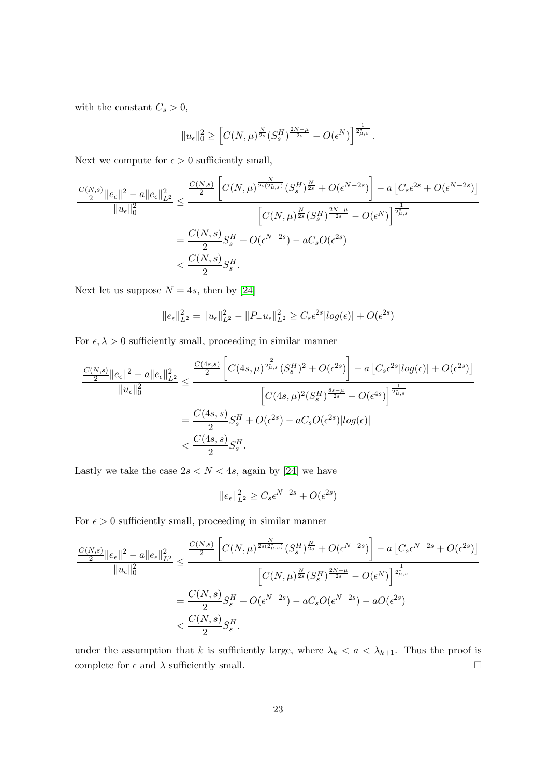with the constant  $C_s > 0$ ,

$$
||u_{\epsilon}||_{0}^{2} \geq \left[C(N,\mu)^{\frac{N}{2s}}(S_{s}^{H})^{\frac{2N-\mu}{2s}} - O(\epsilon^{N})\right]^{\frac{1}{2\mu,s}}.
$$

Next we compute for  $\epsilon>0$  sufficiently small,

$$
\frac{C(N,s)}{2} \|e_{\epsilon}\|^2 - a \|e_{\epsilon}\|^2_{L^2} \le \frac{\frac{C(N,s)}{2} \left[C(N,\mu)^{\frac{N}{2s(2\mu,s)}} (S_s^H)^{\frac{N}{2s}} + O(\epsilon^{N-2s})\right] - a \left[C_s \epsilon^{2s} + O(\epsilon^{N-2s})\right]}{\left[C(N,\mu)^{\frac{N}{2s}} (S_s^H)^{\frac{2N-\mu}{2s}} - O(\epsilon^N)\right]^{\frac{1}{2\mu,s}}}
$$

$$
= \frac{C(N,s)}{2} S_s^H + O(\epsilon^{N-2s}) - aC_s O(\epsilon^{2s})
$$

$$
< \frac{C(N,s)}{2} S_s^H.
$$

Next let us suppose  $N = 4s$ , then by [\[24\]](#page-25-0)

$$
||e_{\epsilon}||_{L^2}^2 = ||u_{\epsilon}||_{L^2}^2 - ||P_{-}u_{\epsilon}||_{L^2}^2 \ge C_s \epsilon^{2s} |log(\epsilon)| + O(\epsilon^{2s})
$$

For  $\epsilon, \lambda > 0$  sufficiently small, proceeding in similar manner

$$
\frac{C(N,s)}{2} \|e_{\epsilon}\|^2 - a\|e_{\epsilon}\|^2_{L^2} \le \frac{\frac{C(4s,s)}{2} \left[C(4s,\mu)^{\frac{2}{2\mu,s}}(S_s^H)^2 + O(\epsilon^{2s})\right] - a\left[C_s\epsilon^{2s}|log(\epsilon)| + O(\epsilon^{2s})\right]}{\left[C(4s,\mu)^2(S_s^H)^{\frac{8s-\mu}{2s}} - O(\epsilon^{4s})\right]^{\frac{1}{2\mu,s}}}
$$

$$
= \frac{C(4s,s)}{2} S_s^H + O(\epsilon^{2s}) - aC_sO(\epsilon^{2s})|log(\epsilon)|
$$

$$
< \frac{C(4s,s)}{2} S_s^H.
$$

Lastly we take the case  $2s < N < 4s$ , again by [\[24\]](#page-25-0) we have

$$
||e_{\epsilon}||_{L^2}^2 \ge C_s \epsilon^{N-2s} + O(\epsilon^{2s})
$$

For  $\epsilon > 0$  sufficiently small, proceeding in similar manner

$$
\frac{C(N,s)}{2} \|e_{\epsilon}\|^2 - a \|e_{\epsilon}\|^2_{L^2} \le \frac{\frac{C(N,s)}{2} \left[C(N,\mu)^{\frac{N}{2s(2\mu,s)}} (S_s^H)^{\frac{N}{2s}} + O(\epsilon^{N-2s})\right] - a \left[C_s \epsilon^{N-2s} + O(\epsilon^{2s})\right]}{\left[C(N,\mu)^{\frac{N}{2s}} (S_s^H)^{\frac{2N-\mu}{2s}} - O(\epsilon^N)\right]^{\frac{1}{2\mu,s}}}
$$

$$
= \frac{C(N,s)}{2} S_s^H + O(\epsilon^{N-2s}) - aC_s O(\epsilon^{N-2s}) - aO(\epsilon^{2s})
$$

$$
< \frac{C(N,s)}{2} S_s^H.
$$

under the assumption that k is sufficiently large, where  $\lambda_k < a < \lambda_{k+1}$ . Thus the proof is complete for  $\epsilon$  and  $\lambda$  sufficiently small.  $\hfill \Box$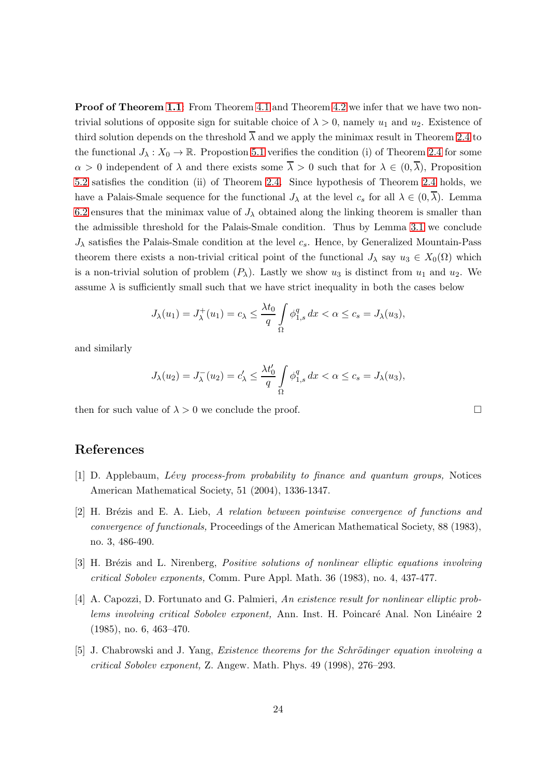**Proof of Theorem [1.1](#page-2-0)**: From Theorem [4.1](#page-9-3) and Theorem [4.2](#page-11-3) we infer that we have two nontrivial solutions of opposite sign for suitable choice of  $\lambda > 0$ , namely  $u_1$  and  $u_2$ . Existence of third solution depends on the threshold  $\overline{\lambda}$  and we apply the minimax result in Theorem [2.4](#page-6-2) to the functional  $J_{\lambda}: X_0 \to \mathbb{R}$ . Propostion [5.1](#page-12-0) verifies the condition (i) of Theorem [2.4](#page-6-2) for some  $\alpha > 0$  independent of  $\lambda$  and there exists some  $\overline{\lambda} > 0$  such that for  $\lambda \in (0, \overline{\lambda})$ , Proposition [5.2](#page-13-4) satisfies the condition (ii) of Theorem [2.4.](#page-6-2) Since hypothesis of Theorem [2.4](#page-6-2) holds, we have a Palais-Smale sequence for the functional  $J_\lambda$  at the level  $c_s$  for all  $\lambda \in (0, \overline{\lambda})$ . Lemma [6.2](#page-21-3) ensures that the minimax value of  $J_{\lambda}$  obtained along the linking theorem is smaller than the admissible threshold for the Palais-Smale condition. Thus by Lemma [3.1](#page-6-1) we conclude  $J_{\lambda}$  satisfies the Palais-Smale condition at the level  $c_s$ . Hence, by Generalized Mountain-Pass theorem there exists a non-trivial critical point of the functional  $J_{\lambda}$  say  $u_3 \in X_0(\Omega)$  which is a non-trivial solution of problem  $(P_\lambda)$ . Lastly we show  $u_3$  is distinct from  $u_1$  and  $u_2$ . We assume  $\lambda$  is sufficiently small such that we have strict inequality in both the cases below

$$
J_{\lambda}(u_1) = J_{\lambda}^+(u_1) = c_{\lambda} \le \frac{\lambda t_0}{q} \int_{\Omega} \phi_{1,s}^q dx < \alpha \le c_s = J_{\lambda}(u_3),
$$

and similarly

$$
J_{\lambda}(u_2) = J_{\lambda}^{-}(u_2) = c_{\lambda}' \leq \frac{\lambda t_0'}{q} \int_{\Omega} \phi_{1,s}^q dx < \alpha \leq c_s = J_{\lambda}(u_3),
$$

then for such value of  $\lambda > 0$  we conclude the proof.

# <span id="page-23-0"></span>References

- <span id="page-23-3"></span>[1] D. Applebaum,  $Lévy$  process-from probability to finance and quantum groups, Notices American Mathematical Society, 51 (2004), 1336-1347.
- [2] H. Brézis and E. A. Lieb, A relation between pointwise convergence of functions and convergence of functionals, Proceedings of the American Mathematical Society, 88 (1983), no. 3, 486-490.
- <span id="page-23-2"></span><span id="page-23-1"></span>[3] H. Brézis and L. Nirenberg, *Positive solutions of nonlinear elliptic equations involving* critical Sobolev exponents, Comm. Pure Appl. Math. 36 (1983), no. 4, 437-477.
- [4] A. Capozzi, D. Fortunato and G. Palmieri, An existence result for nonlinear elliptic problems involving critical Sobolev exponent, Ann. Inst. H. Poincaré Anal. Non Linéaire 2 (1985), no. 6, 463–470.
- <span id="page-23-4"></span>[5] J. Chabrowski and J. Yang, Existence theorems for the Schrödinger equation involving a critical Sobolev exponent, Z. Angew. Math. Phys. 49 (1998), 276–293.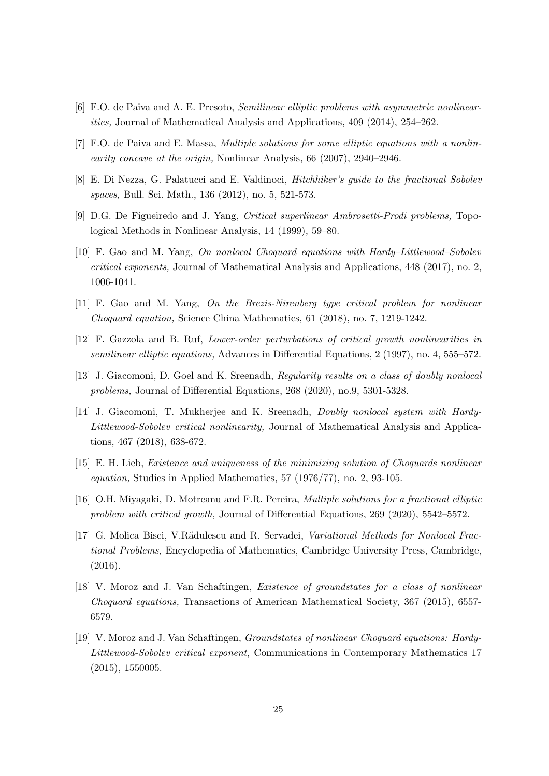- <span id="page-24-5"></span><span id="page-24-3"></span>[6] F.O. de Paiva and A. E. Presoto, Semilinear elliptic problems with asymmetric nonlinearities, Journal of Mathematical Analysis and Applications, 409 (2014), 254–262.
- <span id="page-24-0"></span>[7] F.O. de Paiva and E. Massa, Multiple solutions for some elliptic equations with a nonlinearity concave at the origin, Nonlinear Analysis, 66 (2007), 2940–2946.
- <span id="page-24-4"></span>[8] E. Di Nezza, G. Palatucci and E. Valdinoci, Hitchhiker's guide to the fractional Sobolev spaces, Bull. Sci. Math., 136 (2012), no. 5, 521-573.
- <span id="page-24-10"></span>[9] D.G. De Figueiredo and J. Yang, Critical superlinear Ambrosetti-Prodi problems, Topological Methods in Nonlinear Analysis, 14 (1999), 59–80.
- <span id="page-24-9"></span>[10] F. Gao and M. Yang, On nonlocal Choquard equations with Hardy–Littlewood–Sobolev critical exponents, Journal of Mathematical Analysis and Applications, 448 (2017), no. 2, 1006-1041.
- <span id="page-24-2"></span>[11] F. Gao and M. Yang, On the Brezis-Nirenberg type critical problem for nonlinear Choquard equation, Science China Mathematics, 61 (2018), no. 7, 1219-1242.
- [12] F. Gazzola and B. Ruf, Lower-order perturbations of critical growth nonlinearities in semilinear elliptic equations, Advances in Differential Equations, 2 (1997), no. 4, 555–572.
- <span id="page-24-12"></span>[13] J. Giacomoni, D. Goel and K. Sreenadh, Regularity results on a class of doubly nonlocal problems, Journal of Differential Equations, 268 (2020), no.9, 5301-5328.
- [14] J. Giacomoni, T. Mukherjee and K. Sreenadh, *Doubly nonlocal system with Hardy-*Littlewood-Sobolev critical nonlinearity, Journal of Mathematical Analysis and Applications, 467 (2018), 638-672.
- <span id="page-24-11"></span><span id="page-24-6"></span>[15] E. H. Lieb, Existence and uniqueness of the minimizing solution of Choquards nonlinear equation, Studies in Applied Mathematics, 57 (1976/77), no. 2, 93-105.
- <span id="page-24-1"></span>[16] O.H. Miyagaki, D. Motreanu and F.R. Pereira, Multiple solutions for a fractional elliptic problem with critical growth, Journal of Differential Equations, 269 (2020), 5542–5572.
- [17] G. Molica Bisci, V.Rădulescu and R. Servadei, Variational Methods for Nonlocal Fractional Problems, Encyclopedia of Mathematics, Cambridge University Press, Cambridge, (2016).
- <span id="page-24-8"></span>[18] V. Moroz and J. Van Schaftingen, Existence of groundstates for a class of nonlinear Choquard equations, Transactions of American Mathematical Society, 367 (2015), 6557- 6579.
- <span id="page-24-7"></span>[19] V. Moroz and J. Van Schaftingen, Groundstates of nonlinear Choquard equations: Hardy-Littlewood-Sobolev critical exponent, Communications in Contemporary Mathematics 17 (2015), 1550005.